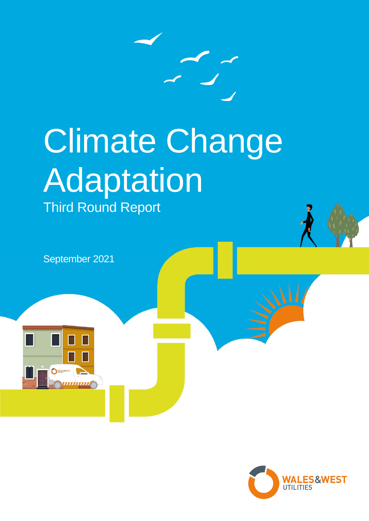

# Climate Change Adaptation Third Round Report

September 2021

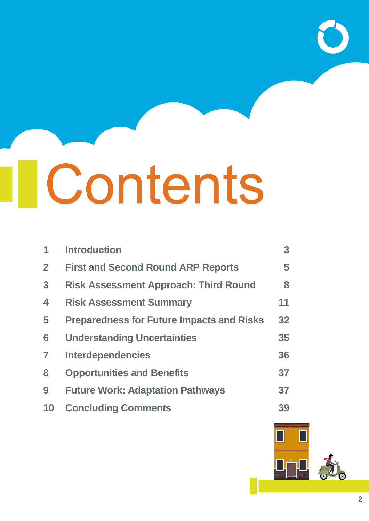# *IContents*

| $\blacktriangleleft$ | <b>Introduction</b>                              | 3 <sup>1</sup> |
|----------------------|--------------------------------------------------|----------------|
| $\overline{2}$       | <b>First and Second Round ARP Reports</b>        | 5              |
| $\overline{3}$       | <b>Risk Assessment Approach: Third Round</b>     | 8              |
| $\blacktriangle$     | <b>Risk Assessment Summary</b>                   | 11             |
| 5                    | <b>Preparedness for Future Impacts and Risks</b> | 32             |
| 6                    | <b>Understanding Uncertainties</b>               | 35             |
| 7                    | <b>Interdependencies</b>                         | 36             |
| 8                    | <b>Opportunities and Benefits</b>                | 37             |
| 9                    | <b>Future Work: Adaptation Pathways</b>          | 37             |
| 10                   | <b>Concluding Comments</b>                       | 39             |

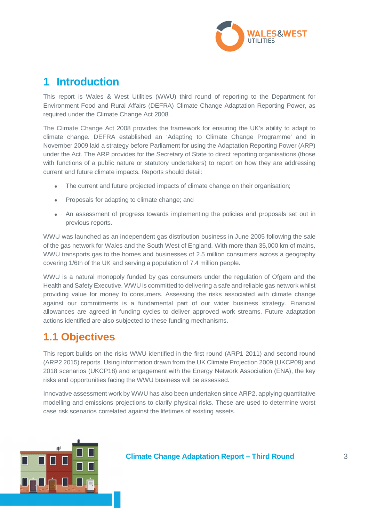

# **1 Introduction**

This report is Wales & West Utilities (WWU) third round of reporting to the Department for Environment Food and Rural Affairs (DEFRA) Climate Change Adaptation Reporting Power, as required under the Climate Change Act 2008.

The Climate Change Act 2008 provides the framework for ensuring the UK's ability to adapt to climate change. DEFRA established an 'Adapting to Climate Change Programme' and in November 2009 laid a strategy before Parliament for using the Adaptation Reporting Power (ARP) under the Act. The ARP provides for the Secretary of State to direct reporting organisations (those with functions of a public nature or statutory undertakers) to report on how they are addressing current and future climate impacts. Reports should detail:

- The current and future projected impacts of climate change on their organisation;
- Proposals for adapting to climate change; and
- An assessment of progress towards implementing the policies and proposals set out in previous reports.

WWU was launched as an independent gas distribution business in June 2005 following the sale of the gas network for Wales and the South West of England. With more than 35,000 km of mains, WWU transports gas to the homes and businesses of 2.5 million consumers across a geography covering 1/6th of the UK and serving a population of 7.4 million people.

WWU is a natural monopoly funded by gas consumers under the regulation of Ofgem and the Health and Safety Executive. WWU is committed to delivering a safe and reliable gas network whilst providing value for money to consumers. Assessing the risks associated with climate change against our commitments is a fundamental part of our wider business strategy. Financial allowances are agreed in funding cycles to deliver approved work streams. Future adaptation actions identified are also subjected to these funding mechanisms.

# **1.1 Objectives**

This report builds on the risks WWU identified in the first round (ARP1 2011) and second round (ARP2 2015) reports. Using information drawn from the UK Climate Projection 2009 (UKCP09) and 2018 scenarios (UKCP18) and engagement with the Energy Network Association (ENA), the key risks and opportunities facing the WWU business will be assessed.

Innovative assessment work by WWU has also been undertaken since ARP2, applying quantitative modelling and emissions projections to clarify physical risks. These are used to determine worst case risk scenarios correlated against the lifetimes of existing assets.

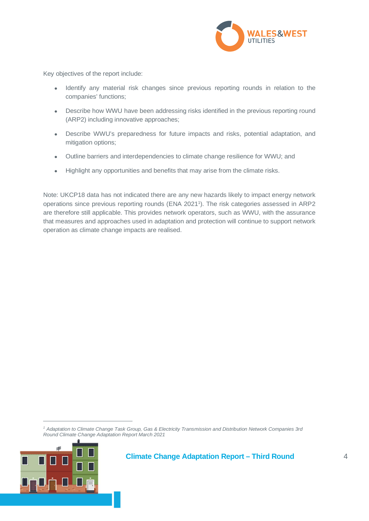

Key objectives of the report include:

- Identify any material risk changes since previous reporting rounds in relation to the companies' functions;
- Describe how WWU have been addressing risks identified in the previous reporting round (ARP2) including innovative approaches;
- Describe WWU's preparedness for future impacts and risks, potential adaptation, and mitigation options;
- Outline barriers and interdependencies to climate change resilience for WWU; and
- Highlight any opportunities and benefits that may arise from the climate risks.

Note: UKCP18 data has not indicated there are any new hazards likely to impact energy network operations since previous reporting rounds (ENA 2021<sup>1</sup> ). The risk categories assessed in ARP2 are therefore still applicable. This provides network operators, such as WWU, with the assurance that measures and approaches used in adaptation and protection will continue to support network operation as climate change impacts are realised.

*<sup>1</sup> Adaptation to Climate Change Task Group, Gas & Electricity Transmission and Distribution Network Companies 3rd Round Climate Change Adaptation Report March 2021*

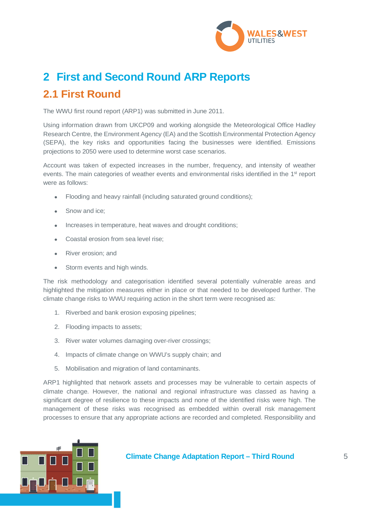

# **2 First and Second Round ARP Reports 2.1 First Round**

The WWU first round report (ARP1) was submitted in June 2011.

Using information drawn from UKCP09 and working alongside the Meteorological Office Hadley Research Centre, the Environment Agency (EA) and the Scottish Environmental Protection Agency (SEPA), the key risks and opportunities facing the businesses were identified. Emissions projections to 2050 were used to determine worst case scenarios.

Account was taken of expected increases in the number, frequency, and intensity of weather events. The main categories of weather events and environmental risks identified in the 1<sup>st</sup> report were as follows:

- Flooding and heavy rainfall (including saturated ground conditions);
- Snow and ice;
- Increases in temperature, heat waves and drought conditions;
- Coastal erosion from sea level rise;
- River erosion; and
- Storm events and high winds.

The risk methodology and categorisation identified several potentially vulnerable areas and highlighted the mitigation measures either in place or that needed to be developed further. The climate change risks to WWU requiring action in the short term were recognised as:

- 1. Riverbed and bank erosion exposing pipelines;
- 2. Flooding impacts to assets;
- 3. River water volumes damaging over-river crossings;
- 4. Impacts of climate change on WWU's supply chain; and
- 5. Mobilisation and migration of land contaminants.

ARP1 highlighted that network assets and processes may be vulnerable to certain aspects of climate change. However, the national and regional infrastructure was classed as having a significant degree of resilience to these impacts and none of the identified risks were high. The management of these risks was recognised as embedded within overall risk management processes to ensure that any appropriate actions are recorded and completed. Responsibility and

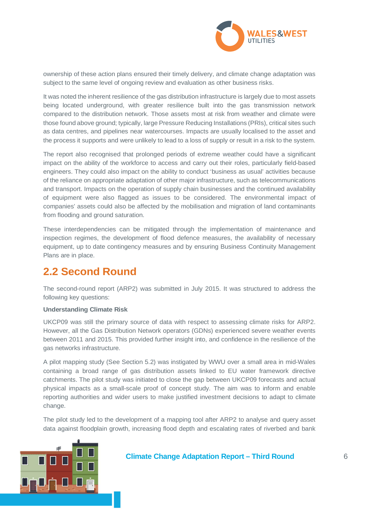

ownership of these action plans ensured their timely delivery, and climate change adaptation was subject to the same level of ongoing review and evaluation as other business risks.

It was noted the inherent resilience of the gas distribution infrastructure is largely due to most assets being located underground, with greater resilience built into the gas transmission network compared to the distribution network. Those assets most at risk from weather and climate were those found above ground; typically, large Pressure Reducing Installations (PRIs), critical sites such as data centres, and pipelines near watercourses. Impacts are usually localised to the asset and the process it supports and were unlikely to lead to a loss of supply or result in a risk to the system.

The report also recognised that prolonged periods of extreme weather could have a significant impact on the ability of the workforce to access and carry out their roles, particularly field-based engineers. They could also impact on the ability to conduct 'business as usual' activities because of the reliance on appropriate adaptation of other major infrastructure, such as telecommunications and transport. Impacts on the operation of supply chain businesses and the continued availability of equipment were also flagged as issues to be considered. The environmental impact of companies' assets could also be affected by the mobilisation and migration of land contaminants from flooding and ground saturation.

These interdependencies can be mitigated through the implementation of maintenance and inspection regimes, the development of flood defence measures, the availability of necessary equipment, up to date contingency measures and by ensuring Business Continuity Management Plans are in place.

# **2.2 Second Round**

The second-round report (ARP2) was submitted in July 2015. It was structured to address the following key questions:

### **Understanding Climate Risk**

UKCP09 was still the primary source of data with respect to assessing climate risks for ARP2. However, all the Gas Distribution Network operators (GDNs) experienced severe weather events between 2011 and 2015. This provided further insight into, and confidence in the resilience of the gas networks infrastructure.

A pilot mapping study (See Section 5.2) was instigated by WWU over a small area in mid-Wales containing a broad range of gas distribution assets linked to EU water framework directive catchments. The pilot study was initiated to close the gap between UKCP09 forecasts and actual physical impacts as a small-scale proof of concept study. The aim was to inform and enable reporting authorities and wider users to make justified investment decisions to adapt to climate change.

The pilot study led to the development of a mapping tool after ARP2 to analyse and query asset data against floodplain growth, increasing flood depth and escalating rates of riverbed and bank

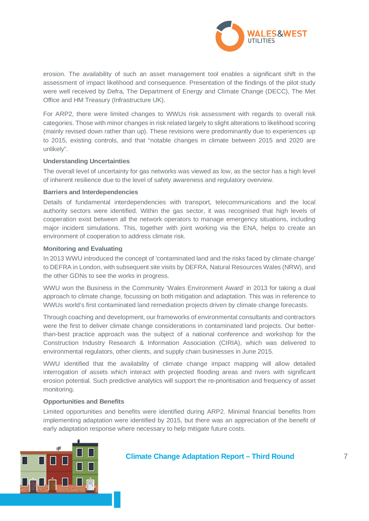

erosion. The availability of such an asset management tool enables a significant shift in the assessment of impact likelihood and consequence. Presentation of the findings of the pilot study were well received by Defra, The Department of Energy and Climate Change (DECC), The Met Office and HM Treasury (Infrastructure UK).

For ARP2, there were limited changes to WWUs risk assessment with regards to overall risk categories. Those with minor changes in risk related largely to slight alterations to likelihood scoring (mainly revised down rather than up). These revisions were predominantly due to experiences up to 2015, existing controls, and that "notable changes in climate between 2015 and 2020 are unlikely".

### **Understanding Uncertainties**

The overall level of uncertainty for gas networks was viewed as low, as the sector has a high level of inherent resilience due to the level of safety awareness and regulatory overview.

### **Barriers and Interdependencies**

Details of fundamental interdependencies with transport, telecommunications and the local authority sectors were identified. Within the gas sector, it was recognised that high levels of cooperation exist between all the network operators to manage emergency situations, including major incident simulations. This, together with joint working via the ENA, helps to create an environment of cooperation to address climate risk.

### **Monitoring and Evaluating**

In 2013 WWU introduced the concept of 'contaminated land and the risks faced by climate change' to DEFRA in London, with subsequent site visits by DEFRA, Natural Resources Wales (NRW), and the other GDNs to see the works in progress.

WWU won the Business in the Community 'Wales Environment Award' in 2013 for taking a dual approach to climate change, focussing on both mitigation and adaptation. This was in reference to WWUs world's first contaminated land remediation projects driven by climate change forecasts.

Through coaching and development, our frameworks of environmental consultants and contractors were the first to deliver climate change considerations in contaminated land projects. Our betterthan-best practice approach was the subject of a national conference and workshop for the Construction Industry Research & Information Association (CIRIA), which was delivered to environmental regulators, other clients, and supply chain businesses in June 2015.

WWU identified that the availability of climate change impact mapping will allow detailed interrogation of assets which interact with projected flooding areas and rivers with significant erosion potential. Such predictive analytics will support the re-prioritisation and frequency of asset monitoring.

### **Opportunities and Benefits**

Limited opportunities and benefits were identified during ARP2. Minimal financial benefits from implementing adaptation were identified by 2015, but there was an appreciation of the benefit of early adaptation response where necessary to help mitigate future costs.

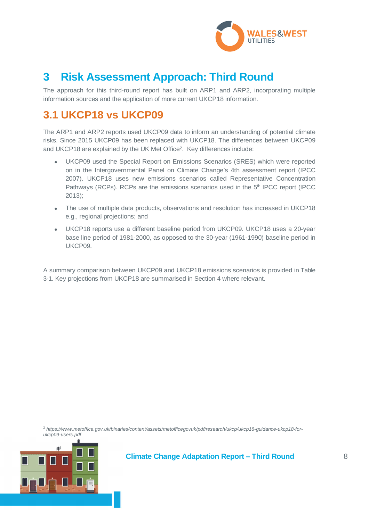

# **3 Risk Assessment Approach: Third Round**

The approach for this third-round report has built on ARP1 and ARP2, incorporating multiple information sources and the application of more current UKCP18 information.

# **3.1 UKCP18 vs UKCP09**

The ARP1 and ARP2 reports used UKCP09 data to inform an understanding of potential climate risks. Since 2015 UKCP09 has been replaced with UKCP18. The differences between UKCP09 and UKCP18 are explained by the UK Met Office<sup>2</sup>. Key differences include:

- UKCP09 used the Special Report on Emissions Scenarios (SRES) which were reported on in the Intergovernmental Panel on Climate Change's 4th assessment report (IPCC 2007). UKCP18 uses new emissions scenarios called Representative Concentration Pathways (RCPs). RCPs are the emissions scenarios used in the 5<sup>th</sup> IPCC report (IPCC 2013);
- The use of multiple data products, observations and resolution has increased in UKCP18 e.g., regional projections; and
- UKCP18 reports use a different baseline period from UKCP09. UKCP18 uses a 20-year base line period of 1981-2000, as opposed to the 30-year (1961-1990) baseline period in UKCP09.

A summary comparison between UKCP09 and UKCP18 emissions scenarios is provided in Table 3-1. Key projections from UKCP18 are summarised in Section 4 where relevant.

<sup>2</sup> *https://www.metoffice.gov.uk/binaries/content/assets/metofficegovuk/pdf/research/ukcp/ukcp18-guidance-ukcp18-forukcp09-users.pdf*

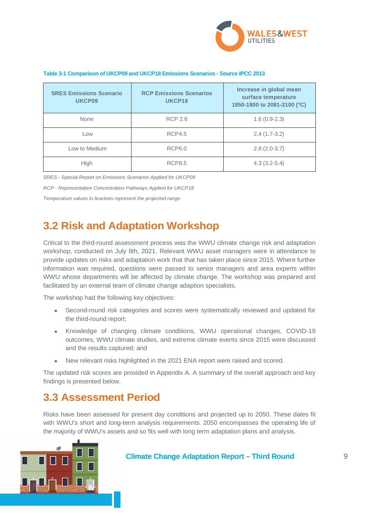

### **Table 3-1 Comparison of UKCP09 and UKCP18 Emissions Scenarios - Source IPCC 2013**

| <b>SRES Emissions Scenario</b><br>UKCP09 | <b>RCP Emissions Scenarios</b><br>UKCP18 | Increase in global mean<br>surface temperature<br>1850-1900 to 2081-2100 (°C) |  |
|------------------------------------------|------------------------------------------|-------------------------------------------------------------------------------|--|
| None                                     | <b>RCP 2.6</b>                           | $1.6(0.9-2.3)$                                                                |  |
| Low                                      | <b>RCP4.5</b>                            | $2.4(1.7-3.2)$                                                                |  |
| Low to Medium                            | <b>RCP6.0</b>                            | $2.8(2.0-3.7)$                                                                |  |
| <b>High</b>                              | <b>RCP8.5</b>                            | $4.3(3.2-5.4)$                                                                |  |

*SRES - Special Report on Emissions Scenarios Applied for UKCP09*

*RCP - Representative Concentration Pathways Applied for UKCP18*

*Temperature values in brackets represent the projected range*

# **3.2 Risk and Adaptation Workshop**

Critical to the third-round assessment process was the WWU climate change risk and adaptation workshop, conducted on July 8th, 2021. Relevant WWU asset managers were in attendance to provide updates on risks and adaptation work that that has taken place since 2015. Where further information was required, questions were passed to senior managers and area experts within WWU whose departments will be affected by climate change. The workshop was prepared and facilitated by an external team of climate change adaption specialists.

The workshop had the following key objectives:

- Second-round risk categories and scores were systematically reviewed and updated for the third-round report;
- Knowledge of changing climate conditions, WWU operational changes, COVID-19 outcomes, WWU climate studies, and extreme climate events since 2015 were discussed and the results captured; and
- New relevant risks highlighted in the 2021 ENA report were raised and scored.

The updated risk scores are provided in Appendix A. A summary of the overall approach and key findings is presented below.

# **3.3 Assessment Period**

Risks have been assessed for present day conditions and projected up to 2050. These dates fit with WWU's short and long-term analysis requirements. 2050 encompasses the operating life of the majority of WWU's assets and so fits well with long term adaptation plans and analysis.

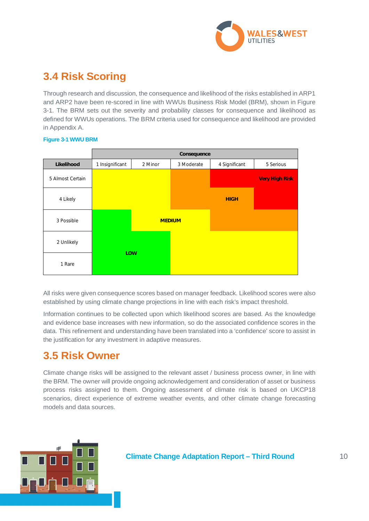

# **3.4 Risk Scoring**

Through research and discussion, the consequence and likelihood of the risks established in ARP1 and ARP2 have been re-scored in line with WWUs Business Risk Model (BRM), shown in Figure 3-1. The BRM sets out the severity and probability classes for consequence and likelihood as defined for WWUs operations. The BRM criteria used for consequence and likelihood are provided in Appendix A.

|                  |                 |         | Consequence   |               |                       |
|------------------|-----------------|---------|---------------|---------------|-----------------------|
| Likelihood       | 1 Insignificant | 2 Minor | 3 Moderate    | 4 Significant | 5 Serious             |
| 5 Almost Certain |                 |         |               |               | <b>Very High Risk</b> |
| 4 Likely         |                 |         |               | <b>HIGH</b>   |                       |
| 3 Possible       |                 |         | <b>MEDIUM</b> |               |                       |
| 2 Unlikely       |                 |         |               |               |                       |
| 1 Rare           | <b>LOW</b>      |         |               |               |                       |

### **Figure 3-1 WWU BRM**

All risks were given consequence scores based on manager feedback. Likelihood scores were also established by using climate change projections in line with each risk's impact threshold.

Information continues to be collected upon which likelihood scores are based. As the knowledge and evidence base increases with new information, so do the associated confidence scores in the data. This refinement and understanding have been translated into a 'confidence' score to assist in the justification for any investment in adaptive measures.

# **3.5 Risk Owner**

Climate change risks will be assigned to the relevant asset / business process owner, in line with the BRM. The owner will provide ongoing acknowledgement and consideration of asset or business process risks assigned to them. Ongoing assessment of climate risk is based on UKCP18 scenarios, direct experience of extreme weather events, and other climate change forecasting models and data sources.

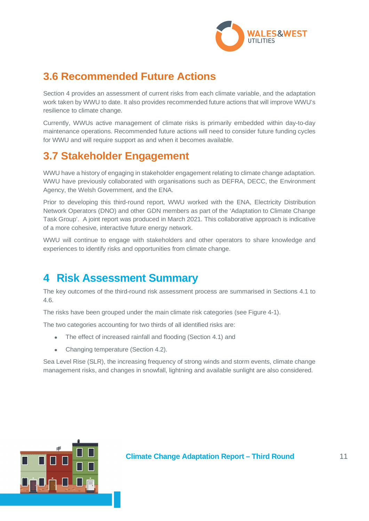

# **3.6 Recommended Future Actions**

Section 4 provides an assessment of current risks from each climate variable, and the adaptation work taken by WWU to date. It also provides recommended future actions that will improve WWU's resilience to climate change.

Currently, WWUs active management of climate risks is primarily embedded within day-to-day maintenance operations. Recommended future actions will need to consider future funding cycles for WWU and will require support as and when it becomes available.

# **3.7 Stakeholder Engagement**

WWU have a history of engaging in stakeholder engagement relating to climate change adaptation. WWU have previously collaborated with organisations such as DEFRA, DECC, the Environment Agency, the Welsh Government, and the ENA.

Prior to developing this third-round report, WWU worked with the ENA, Electricity Distribution Network Operators (DNO) and other GDN members as part of the 'Adaptation to Climate Change Task Group'. A joint report was produced in March 2021. This collaborative approach is indicative of a more cohesive, interactive future energy network.

WWU will continue to engage with stakeholders and other operators to share knowledge and experiences to identify risks and opportunities from climate change.

# **4 Risk Assessment Summary**

The key outcomes of the third-round risk assessment process are summarised in Sections 4.1 to 4.6.

The risks have been grouped under the main climate risk categories (see Figure 4-1).

The two categories accounting for two thirds of all identified risks are:

- The effect of increased rainfall and flooding (Section 4.1) and
- Changing temperature (Section 4.2).

Sea Level Rise (SLR), the increasing frequency of strong winds and storm events, climate change management risks, and changes in snowfall, lightning and available sunlight are also considered.

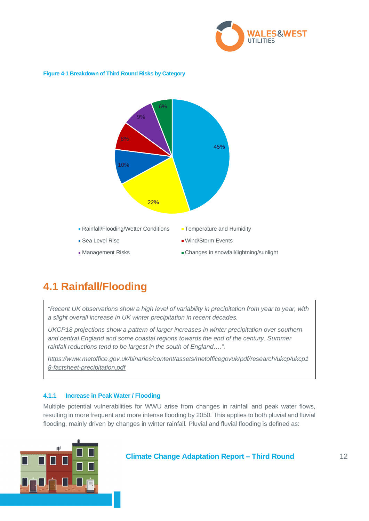

### **Figure 4-1 Breakdown of Third Round Risks by Category**



# **4.1 Rainfall/Flooding**

*"Recent UK observations show a high level of variability in precipitation from year to year, with a slight overall increase in UK winter precipitation in recent decades.*

*UKCP18 projections show a pattern of larger increases in winter precipitation over southern and central England and some coastal regions towards the end of the century. Summer rainfall reductions tend to be largest in the south of England….".*

*https://www.metoffice.gov.uk/binaries/content/assets/metofficegovuk/pdf/research/ukcp/ukcp1 8-factsheet-precipitation.pdf*

### **4.1.1 Increase in Peak Water / Flooding**

Multiple potential vulnerabilities for WWU arise from changes in rainfall and peak water flows, resulting in more frequent and more intense flooding by 2050. This applies to both pluvial and fluvial flooding, mainly driven by changes in winter rainfall. Pluvial and fluvial flooding is defined as:

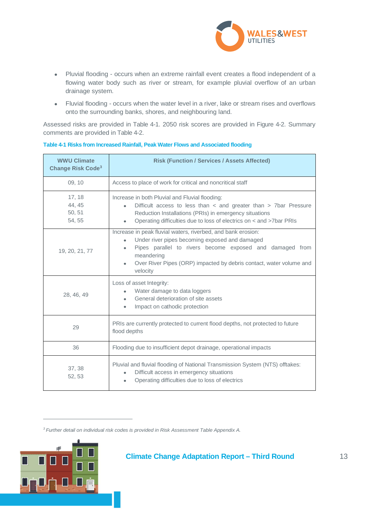

- Pluvial flooding occurs when an extreme rainfall event creates a flood independent of a flowing water body such as river or stream, for example pluvial overflow of an urban drainage system.
- Fluvial flooding occurs when the water level in a river, lake or stream rises and overflows onto the surrounding banks, shores, and neighbouring land.

Assessed risks are provided in Table 4-1. 2050 risk scores are provided in Figure 4-2. Summary comments are provided in Table 4-2.

| <b>WWU Climate</b><br><b>Change Risk Code<sup>3</sup></b> | <b>Risk (Function / Services / Assets Affected)</b>                                                                                                                                                                                                                                      |  |  |
|-----------------------------------------------------------|------------------------------------------------------------------------------------------------------------------------------------------------------------------------------------------------------------------------------------------------------------------------------------------|--|--|
| 09, 10                                                    | Access to place of work for critical and noncritical staff                                                                                                                                                                                                                               |  |  |
| 17, 18<br>44, 45<br>50, 51<br>54, 55                      | Increase in both Pluvial and Fluvial flooding:<br>Difficult access to less than < and greater than > 7bar Pressure<br>$\bullet$<br>Reduction Installations (PRIs) in emergency situations<br>Operating difficulties due to loss of electrics on < and >7bar PRIs<br>٠                    |  |  |
| 19, 20, 21, 77                                            | Increase in peak fluvial waters, riverbed, and bank erosion:<br>Under river pipes becoming exposed and damaged<br>$\bullet$<br>Pipes parallel to rivers become exposed and damaged from<br>meandering<br>Over River Pipes (ORP) impacted by debris contact, water volume and<br>velocity |  |  |
| 28, 46, 49                                                | Loss of asset Integrity:<br>Water damage to data loggers<br>$\bullet$<br>General deterioration of site assets<br>$\bullet$<br>Impact on cathodic protection<br>$\bullet$                                                                                                                 |  |  |
| 29                                                        | PRIs are currently protected to current flood depths, not protected to future<br>flood depths                                                                                                                                                                                            |  |  |
| 36                                                        | Flooding due to insufficient depot drainage, operational impacts                                                                                                                                                                                                                         |  |  |
| 37, 38<br>52, 53                                          | Pluvial and fluvial flooding of National Transmission System (NTS) offtakes:<br>Difficult access in emergency situations<br>Operating difficulties due to loss of electrics                                                                                                              |  |  |

### **Table 4-1 Risks from Increased Rainfall, Peak Water Flows and Associated flooding**

*<sup>3</sup> Further detail on individual risk codes is provided in Risk Assessment Table Appendix A.*



 $\mathbf{r}$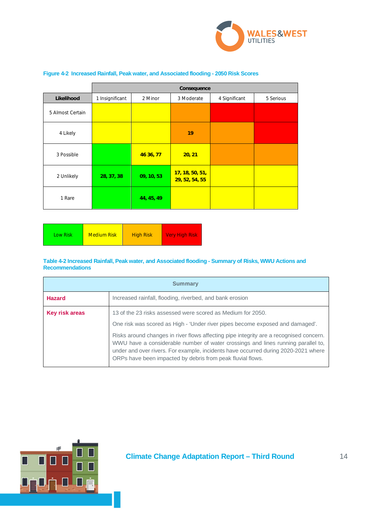

|                  | Consequence     |            |                                   |               |           |
|------------------|-----------------|------------|-----------------------------------|---------------|-----------|
| Likelihood       | 1 Insignificant | 2 Minor    | 3 Moderate                        | 4 Significant | 5 Serious |
| 5 Almost Certain |                 |            |                                   |               |           |
| 4 Likely         |                 |            | 19                                |               |           |
| 3 Possible       |                 | 46 36, 77  | 20, 21                            |               |           |
| 2 Unlikely       | 28, 37, 38      | 09, 10, 53 | 17, 18, 50, 51,<br>29, 52, 54, 55 |               |           |
| 1 Rare           |                 | 44, 45, 49 |                                   |               |           |

### **Figure 4-2 Increased Rainfall, Peak water, and Associated flooding - 2050 Risk Scores**

| <b>Medium Risk</b> | <b>NVery High Risk</b> |
|--------------------|------------------------|
| Low Risk           | <b>High Risk</b>       |

### **Table 4-2 Increased Rainfall, Peak water, and Associated flooding - Summary of Risks, WWU Actions and Recommendations**

| <b>Summary</b> |                                                                                                                                                                                                                                                                                                                                                                                                                                                                                |  |  |  |
|----------------|--------------------------------------------------------------------------------------------------------------------------------------------------------------------------------------------------------------------------------------------------------------------------------------------------------------------------------------------------------------------------------------------------------------------------------------------------------------------------------|--|--|--|
| <b>Hazard</b>  | Increased rainfall, flooding, riverbed, and bank erosion                                                                                                                                                                                                                                                                                                                                                                                                                       |  |  |  |
| Key risk areas | 13 of the 23 risks assessed were scored as Medium for 2050.<br>One risk was scored as High - 'Under river pipes become exposed and damaged'.<br>Risks around changes in river flows affecting pipe integrity are a recognised concern.<br>WWU have a considerable number of water crossings and lines running parallel to,<br>under and over rivers. For example, incidents have occurred during 2020-2021 where<br>ORPs have been impacted by debris from peak fluvial flows. |  |  |  |

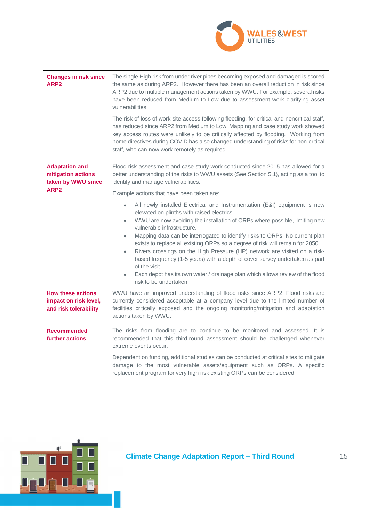

| <b>Changes in risk since</b><br>ARP <sub>2</sub>                           | The single High risk from under river pipes becoming exposed and damaged is scored<br>the same as during ARP2. However there has been an overall reduction in risk since<br>ARP2 due to multiple management actions taken by WWU. For example, several risks<br>have been reduced from Medium to Low due to assessment work clarifying asset<br>vulnerabilities.<br>The risk of loss of work site access following flooding, for critical and noncritical staff,<br>has reduced since ARP2 from Medium to Low. Mapping and case study work showed<br>key access routes were unlikely to be critically affected by flooding. Working from                                                                                                        |
|----------------------------------------------------------------------------|-------------------------------------------------------------------------------------------------------------------------------------------------------------------------------------------------------------------------------------------------------------------------------------------------------------------------------------------------------------------------------------------------------------------------------------------------------------------------------------------------------------------------------------------------------------------------------------------------------------------------------------------------------------------------------------------------------------------------------------------------|
|                                                                            | home directives during COVID has also changed understanding of risks for non-critical<br>staff, who can now work remotely as required.                                                                                                                                                                                                                                                                                                                                                                                                                                                                                                                                                                                                          |
| <b>Adaptation and</b><br>mitigation actions<br>taken by WWU since          | Flood risk assessment and case study work conducted since 2015 has allowed for a<br>better understanding of the risks to WWU assets (See Section 5.1), acting as a tool to<br>identify and manage vulnerabilities.                                                                                                                                                                                                                                                                                                                                                                                                                                                                                                                              |
| ARP <sub>2</sub>                                                           | Example actions that have been taken are:                                                                                                                                                                                                                                                                                                                                                                                                                                                                                                                                                                                                                                                                                                       |
|                                                                            | All newly installed Electrical and Instrumentation (E&I) equipment is now<br>$\bullet$<br>elevated on plinths with raised electrics.<br>WWU are now avoiding the installation of ORPs where possible, limiting new<br>$\bullet$<br>vulnerable infrastructure.<br>Mapping data can be interrogated to identify risks to ORPs. No current plan<br>$\bullet$<br>exists to replace all existing ORPs so a degree of risk will remain for 2050.<br>Rivers crossings on the High Pressure (HP) network are visited on a risk-<br>$\bullet$<br>based frequency (1-5 years) with a depth of cover survey undertaken as part<br>of the visit.<br>Each depot has its own water / drainage plan which allows review of the flood<br>risk to be undertaken. |
| <b>How these actions</b><br>impact on risk level,<br>and risk tolerability | WWU have an improved understanding of flood risks since ARP2. Flood risks are<br>currently considered acceptable at a company level due to the limited number of<br>facilities critically exposed and the ongoing monitoring/mitigation and adaptation<br>actions taken by WWU.                                                                                                                                                                                                                                                                                                                                                                                                                                                                 |
| <b>Recommended</b><br>further actions                                      | The risks from flooding are to continue to be monitored and assessed. It is<br>recommended that this third-round assessment should be challenged whenever<br>extreme events occur.                                                                                                                                                                                                                                                                                                                                                                                                                                                                                                                                                              |
|                                                                            | Dependent on funding, additional studies can be conducted at critical sites to mitigate<br>damage to the most vulnerable assets/equipment such as ORPs. A specific<br>replacement program for very high risk existing ORPs can be considered.                                                                                                                                                                                                                                                                                                                                                                                                                                                                                                   |

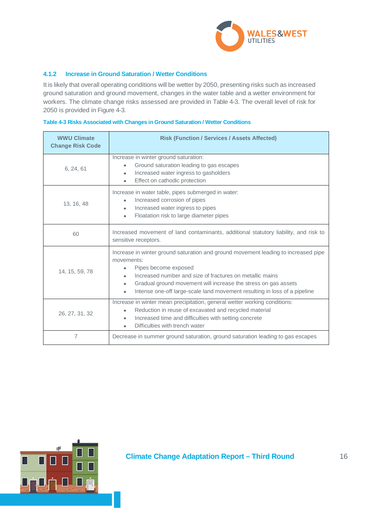

### **4.1.2 Increase in Ground Saturation / Wetter Conditions**

It is likely that overall operating conditions will be wetter by 2050, presenting risks such as increased ground saturation and ground movement, changes in the water table and a wetter environment for workers. The climate change risks assessed are provided in Table 4-3. The overall level of risk for 2050 is provided in Figure 4-3.

| <b>WWU Climate</b><br><b>Change Risk Code</b> | <b>Risk (Function / Services / Assets Affected)</b>                                                                                                                                                                                                                                                                                                                        |  |
|-----------------------------------------------|----------------------------------------------------------------------------------------------------------------------------------------------------------------------------------------------------------------------------------------------------------------------------------------------------------------------------------------------------------------------------|--|
| 6, 24, 61                                     | Increase in winter ground saturation:<br>Ground saturation leading to gas escapes<br>Increased water ingress to gasholders<br>$\bullet$<br>Effect on cathodic protection<br>$\bullet$                                                                                                                                                                                      |  |
| 13, 16, 48                                    | Increase in water table, pipes submerged in water:<br>Increased corrosion of pipes<br>$\bullet$<br>Increased water ingress to pipes<br>$\bullet$<br>Floatation risk to large diameter pipes<br>$\bullet$                                                                                                                                                                   |  |
| 60                                            | Increased movement of land contaminants, additional statutory liability, and risk to<br>sensitive receptors.                                                                                                                                                                                                                                                               |  |
| 14, 15, 59, 78                                | Increase in winter ground saturation and ground movement leading to increased pipe<br>movements:<br>Pipes become exposed<br>$\bullet$<br>Increased number and size of fractures on metallic mains<br>Gradual ground movement will increase the stress on gas assets<br>$\bullet$<br>Intense one-off large-scale land movement resulting in loss of a pipeline<br>$\bullet$ |  |
| 26, 27, 31, 32                                | Increase in winter mean precipitation, general wetter working conditions:<br>Reduction in reuse of excavated and recycled material<br>$\bullet$<br>Increased time and difficulties with setting concrete<br>$\bullet$<br>Difficulties with trench water                                                                                                                    |  |
| 7                                             | Decrease in summer ground saturation, ground saturation leading to gas escapes                                                                                                                                                                                                                                                                                             |  |

### **Table 4-3 Risks Associated with Changes in Ground Saturation / Wetter Conditions**

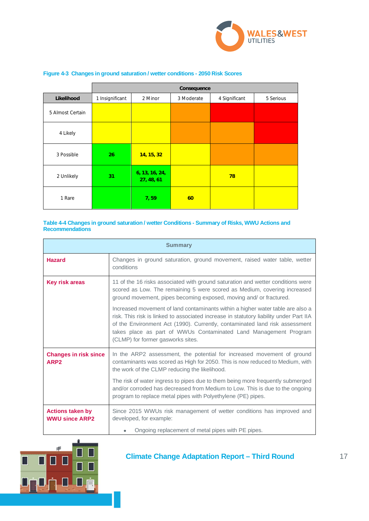

|                  |                 |                              | Consequence |               |           |
|------------------|-----------------|------------------------------|-------------|---------------|-----------|
| Likelihood       | 1 Insignificant | 2 Minor                      | 3 Moderate  | 4 Significant | 5 Serious |
| 5 Almost Certain |                 |                              |             |               |           |
| 4 Likely         |                 |                              |             |               |           |
| 3 Possible       | 26              | 14, 15, 32                   |             |               |           |
| 2 Unlikely       | 31              | 6, 13, 16, 24,<br>27, 48, 61 |             | 78            |           |
| 1 Rare           |                 | 7,59                         | 60          |               |           |

### **Figure 4-3 Changes in ground saturation / wetter conditions - 2050 Risk Scores**

### **Table 4-4 Changes in ground saturation / wetter Conditions - Summary of Risks, WWU Actions and Recommendations**

| <b>Summary</b>                                   |                                                                                                                                                                                                                                                                                                                                                                  |  |  |  |
|--------------------------------------------------|------------------------------------------------------------------------------------------------------------------------------------------------------------------------------------------------------------------------------------------------------------------------------------------------------------------------------------------------------------------|--|--|--|
| <b>Hazard</b>                                    | Changes in ground saturation, ground movement, raised water table, wetter<br>conditions                                                                                                                                                                                                                                                                          |  |  |  |
| <b>Key risk areas</b>                            | 11 of the 16 risks associated with ground saturation and wetter conditions were<br>scored as Low. The remaining 5 were scored as Medium, covering increased<br>ground movement, pipes becoming exposed, moving and/ or fractured.                                                                                                                                |  |  |  |
|                                                  | Increased movement of land contaminants within a higher water table are also a<br>risk. This risk is linked to associated increase in statutory liability under Part IIA<br>of the Environment Act (1990). Currently, contaminated land risk assessment<br>takes place as part of WWUs Contaminated Land Management Program<br>(CLMP) for former gasworks sites. |  |  |  |
| <b>Changes in risk since</b><br>ARP <sub>2</sub> | In the ARP2 assessment, the potential for increased movement of ground<br>contaminants was scored as High for 2050. This is now reduced to Medium, with<br>the work of the CLMP reducing the likelihood.                                                                                                                                                         |  |  |  |
|                                                  | The risk of water ingress to pipes due to them being more frequently submerged<br>and/or corroded has decreased from Medium to Low. This is due to the ongoing<br>program to replace metal pipes with Polyethylene (PE) pipes.                                                                                                                                   |  |  |  |
| <b>Actions taken by</b><br><b>WWU since ARP2</b> | Since 2015 WWUs risk management of wetter conditions has improved and<br>developed, for example:                                                                                                                                                                                                                                                                 |  |  |  |
|                                                  | Ongoing replacement of metal pipes with PE pipes.                                                                                                                                                                                                                                                                                                                |  |  |  |

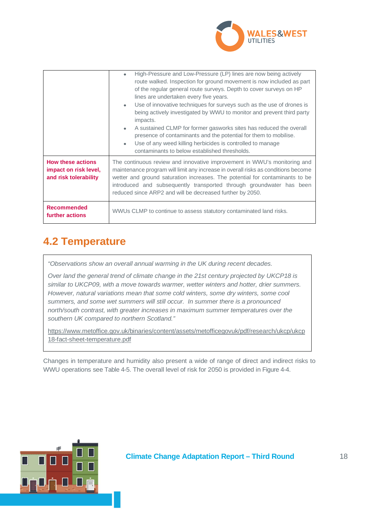

|                                                                            | High-Pressure and Low-Pressure (LP) lines are now being actively<br>$\bullet$<br>route walked. Inspection for ground movement is now included as part<br>of the regular general route surveys. Depth to cover surveys on HP<br>lines are undertaken every five years.<br>Use of innovative techniques for surveys such as the use of drones is<br>$\bullet$<br>being actively investigated by WWU to monitor and prevent third party<br>impacts.<br>A sustained CLMP for former gasworks sites has reduced the overall<br>$\bullet$<br>presence of contaminants and the potential for them to mobilise.<br>Use of any weed killing herbicides is controlled to manage<br>$\bullet$<br>contaminants to below established thresholds. |  |  |
|----------------------------------------------------------------------------|-------------------------------------------------------------------------------------------------------------------------------------------------------------------------------------------------------------------------------------------------------------------------------------------------------------------------------------------------------------------------------------------------------------------------------------------------------------------------------------------------------------------------------------------------------------------------------------------------------------------------------------------------------------------------------------------------------------------------------------|--|--|
| <b>How these actions</b><br>impact on risk level,<br>and risk tolerability | The continuous review and innovative improvement in WWU's monitoring and<br>maintenance program will limit any increase in overall risks as conditions become<br>wetter and ground saturation increases. The potential for contaminants to be<br>introduced and subsequently transported through groundwater has been<br>reduced since ARP2 and will be decreased further by 2050.                                                                                                                                                                                                                                                                                                                                                  |  |  |
| <b>Recommended</b><br>further actions                                      | WWUs CLMP to continue to assess statutory contaminated land risks.                                                                                                                                                                                                                                                                                                                                                                                                                                                                                                                                                                                                                                                                  |  |  |

# **4.2 Temperature**

*"Observations show an overall annual warming in the UK during recent decades.*

*Over land the general trend of climate change in the 21st century projected by UKCP18 is similar to UKCP09, with a move towards warmer, wetter winters and hotter, drier summers. However, natural variations mean that some cold winters, some dry winters, some cool summers, and some wet summers will still occur. In summer there is a pronounced north/south contrast, with greater increases in maximum summer temperatures over the southern UK compared to northern Scotland."*

https://www.metoffice.gov.uk/binaries/content/assets/metofficegovuk/pdf/research/ukcp/ukcp 18-fact-sheet-temperature.pdf

Changes in temperature and humidity also present a wide of range of direct and indirect risks to WWU operations see Table 4-5. The overall level of risk for 2050 is provided in Figure 4-4.

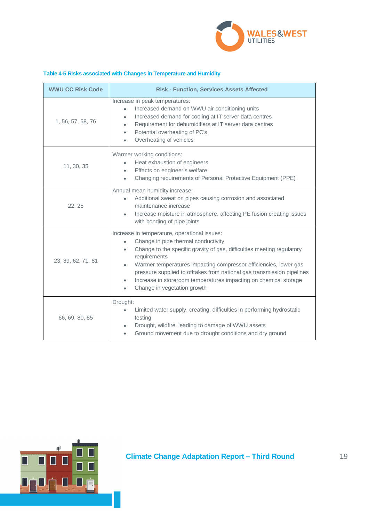

### **Table 4-5 Risks associated with Changes in Temperature and Humidity**

| <b>WWU CC Risk Code</b> | <b>Risk - Function, Services Assets Affected</b>                                                                                                                                                                                                                                                                                                                                                                                                                                                |
|-------------------------|-------------------------------------------------------------------------------------------------------------------------------------------------------------------------------------------------------------------------------------------------------------------------------------------------------------------------------------------------------------------------------------------------------------------------------------------------------------------------------------------------|
| 1, 56, 57, 58, 76       | Increase in peak temperatures:<br>Increased demand on WWU air conditioning units<br>$\bullet$<br>Increased demand for cooling at IT server data centres<br>$\bullet$<br>Requirement for dehumidifiers at IT server data centres<br>$\bullet$<br>Potential overheating of PC's<br>$\bullet$<br>Overheating of vehicles<br>$\bullet$                                                                                                                                                              |
| 11, 30, 35              | Warmer working conditions:<br>Heat exhaustion of engineers<br>Effects on engineer's welfare<br>$\bullet$<br>Changing requirements of Personal Protective Equipment (PPE)<br>$\bullet$                                                                                                                                                                                                                                                                                                           |
| 22, 25                  | Annual mean humidity increase:<br>Additional sweat on pipes causing corrosion and associated<br>$\bullet$<br>maintenance increase<br>Increase moisture in atmosphere, affecting PE fusion creating issues<br>with bonding of pipe joints                                                                                                                                                                                                                                                        |
| 23, 39, 62, 71, 81      | Increase in temperature, operational issues:<br>Change in pipe thermal conductivity<br>$\bullet$<br>Change to the specific gravity of gas, difficulties meeting regulatory<br>$\bullet$<br>requirements<br>Warmer temperatures impacting compressor efficiencies, lower gas<br>$\bullet$<br>pressure supplied to offtakes from national gas transmission pipelines<br>Increase in storeroom temperatures impacting on chemical storage<br>$\bullet$<br>Change in vegetation growth<br>$\bullet$ |
| 66, 69, 80, 85          | Drought:<br>Limited water supply, creating, difficulties in performing hydrostatic<br>$\bullet$<br>testing<br>Drought, wildfire, leading to damage of WWU assets<br>$\bullet$<br>Ground movement due to drought conditions and dry ground<br>$\bullet$                                                                                                                                                                                                                                          |

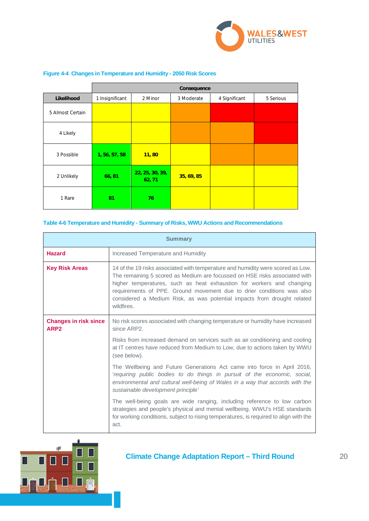

|                  | Consequence     |                           |            |               |           |
|------------------|-----------------|---------------------------|------------|---------------|-----------|
| Likelihood       | 1 Insignificant | 2 Minor                   | 3 Moderate | 4 Significant | 5 Serious |
| 5 Almost Certain |                 |                           |            |               |           |
| 4 Likely         |                 |                           |            |               |           |
| 3 Possible       | 1, 56, 57, 58   | 11,80                     |            |               |           |
| 2 Unlikely       | 66, 81          | 22, 25, 30, 39,<br>62, 71 | 35, 69, 85 |               |           |
| 1 Rare           | 81              | 76                        |            |               |           |

### **Figure 4-4 Changes in Temperature and Humidity - 2050 Risk Scores**

### **Table 4-6 Temperature and Humidity - Summary of Risks, WWU Actions and Recommendations**

|                                                  | <b>Summary</b>                                                                                                                                                                                                                                                                                                                                                                                           |
|--------------------------------------------------|----------------------------------------------------------------------------------------------------------------------------------------------------------------------------------------------------------------------------------------------------------------------------------------------------------------------------------------------------------------------------------------------------------|
| <b>Hazard</b>                                    | Increased Temperature and Humidity                                                                                                                                                                                                                                                                                                                                                                       |
| <b>Key Risk Areas</b>                            | 14 of the 19 risks associated with temperature and humidity were scored as Low.<br>The remaining 5 scored as Medium are focussed on HSE risks associated with<br>higher temperatures, such as heat exhaustion for workers and changing<br>requirements of PPE. Ground movement due to drier conditions was also<br>considered a Medium Risk, as was potential impacts from drought related<br>wildfires. |
| <b>Changes in risk since</b><br>ARP <sub>2</sub> | No risk scores associated with changing temperature or humidity have increased<br>since ARP2.                                                                                                                                                                                                                                                                                                            |
|                                                  | Risks from increased demand on services such as air conditioning and cooling<br>at IT centres have reduced from Medium to Low, due to actions taken by WWU<br>(see below).                                                                                                                                                                                                                               |
|                                                  | The Wellbeing and Future Generations Act came into force in April 2016,<br>'requiring public bodies to do things in pursuit of the economic, social,<br>environmental and cultural well-being of Wales in a way that accords with the<br>sustainable development principle'                                                                                                                              |
|                                                  | The well-being goals are wide ranging, including reference to low carbon<br>strategies and people's physical and mental wellbeing. WWU's HSE standards<br>for working conditions, subject to rising temperatures, is required to align with the<br>act.                                                                                                                                                  |

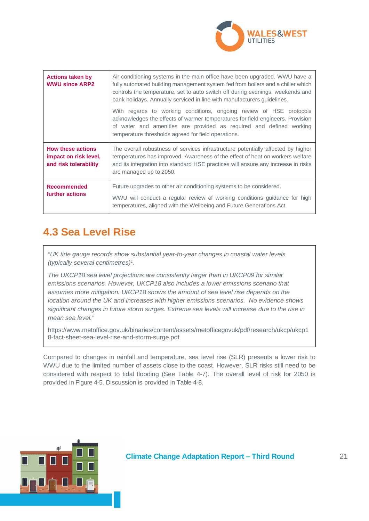

| <b>Actions taken by</b><br><b>WWU since ARP2</b>                           | Air conditioning systems in the main office have been upgraded. WWU have a<br>fully automated building management system fed from boilers and a chiller which<br>controls the temperature, set to auto switch off during evenings, weekends and<br>bank holidays. Annually serviced in line with manufacturers guidelines. |
|----------------------------------------------------------------------------|----------------------------------------------------------------------------------------------------------------------------------------------------------------------------------------------------------------------------------------------------------------------------------------------------------------------------|
|                                                                            | With regards to working conditions, ongoing review of HSE protocols<br>acknowledges the effects of warmer temperatures for field engineers. Provision<br>of water and amenities are provided as required and defined working<br>temperature thresholds agreed for field operations.                                        |
| <b>How these actions</b><br>impact on risk level,<br>and risk tolerability | The overall robustness of services infrastructure potentially affected by higher<br>temperatures has improved. Awareness of the effect of heat on workers welfare<br>and its integration into standard HSE practices will ensure any increase in risks<br>are managed up to 2050.                                          |
| <b>Recommended</b><br>further actions                                      | Future upgrades to other air conditioning systems to be considered.<br>WWU will conduct a regular review of working conditions guidance for high<br>temperatures, aligned with the Wellbeing and Future Generations Act.                                                                                                   |

# **4.3 Sea Level Rise**

*"UK tide gauge records show substantial year-to-year changes in coastal water levels (typically several centimetres)<sup>1</sup> .*

*The UKCP18 sea level projections are consistently larger than in UKCP09 for similar emissions scenarios. However, UKCP18 also includes a lower emissions scenario that assumes more mitigation. UKCP18 shows the amount of sea level rise depends on the location around the UK and increases with higher emissions scenarios. No evidence shows significant changes in future storm surges. Extreme sea levels will increase due to the rise in mean sea level."*

https://www.metoffice.gov.uk/binaries/content/assets/metofficegovuk/pdf/research/ukcp/ukcp1 8-fact-sheet-sea-level-rise-and-storm-surge.pdf

Compared to changes in rainfall and temperature, sea level rise (SLR) presents a lower risk to WWU due to the limited number of assets close to the coast. However, SLR risks still need to be considered with respect to tidal flooding (See Table 4-7). The overall level of risk for 2050 is provided in Figure 4-5. Discussion is provided in Table 4-8.

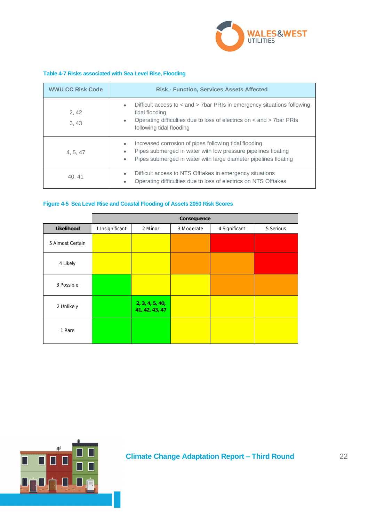

### **Table 4-7 Risks associated with Sea Level Rise, Flooding**

| <b>WWU CC Risk Code</b> | <b>Risk - Function, Services Assets Affected</b>                                                                                                                                                                                 |  |  |  |
|-------------------------|----------------------------------------------------------------------------------------------------------------------------------------------------------------------------------------------------------------------------------|--|--|--|
| 2,42<br>3,43            | Difficult access to < and > 7bar PRIs in emergency situations following<br>$\bullet$<br>tidal flooding<br>Operating difficulties due to loss of electrics on < and > 7bar PRIs<br>$\bullet$<br>following tidal flooding          |  |  |  |
| 4, 5, 47                | Increased corrosion of pipes following tidal flooding<br>$\bullet$<br>Pipes submerged in water with low pressure pipelines floating<br>$\bullet$<br>Pipes submerged in water with large diameter pipelines floating<br>$\bullet$ |  |  |  |
| 40, 41                  | Difficult access to NTS Offtakes in emergency situations<br>$\bullet$<br>Operating difficulties due to loss of electrics on NTS Offtakes<br>$\bullet$                                                                            |  |  |  |

### **Figure 4-5 Sea Level Rise and Coastal Flooding of Assets 2050 Risk Scores**

|                  | Consequence     |                                   |            |               |           |
|------------------|-----------------|-----------------------------------|------------|---------------|-----------|
| Likelihood       | 1 Insignificant | 2 Minor                           | 3 Moderate | 4 Significant | 5 Serious |
| 5 Almost Certain |                 |                                   |            |               |           |
| 4 Likely         |                 |                                   |            |               |           |
| 3 Possible       |                 |                                   |            |               |           |
| 2 Unlikely       |                 | 2, 3, 4, 5, 40,<br>41, 42, 43, 47 |            |               |           |
| 1 Rare           |                 |                                   |            |               |           |

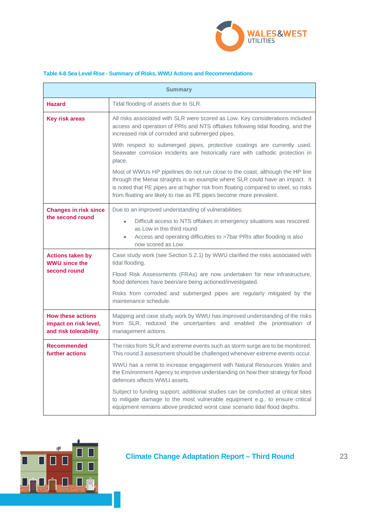

### **Table 4-8 Sea Level Rise - Summary of Risks, WWU Actions and Recommendations**

| <b>Summary</b>                                                             |                                                                                                                                                                                                                                                                                                                             |  |  |  |
|----------------------------------------------------------------------------|-----------------------------------------------------------------------------------------------------------------------------------------------------------------------------------------------------------------------------------------------------------------------------------------------------------------------------|--|--|--|
| <b>Hazard</b>                                                              | Tidal flooding of assets due to SLR.                                                                                                                                                                                                                                                                                        |  |  |  |
| <b>Key risk areas</b>                                                      | All risks associated with SLR were scored as Low. Key considerations included<br>access and operation of PRIs and NTS offtakes following tidal flooding, and the<br>increased risk of corroded and submerged pipes.                                                                                                         |  |  |  |
|                                                                            | With respect to submerged pipes, protective coatings are currently used.<br>Seawater corrosion incidents are historically rare with cathodic protection in<br>place.                                                                                                                                                        |  |  |  |
|                                                                            | Most of WWUs HP pipelines do not run close to the coast, although the HP line<br>through the Menai straights is an example where SLR could have an impact. It<br>is noted that PE pipes are at higher risk from floating compared to steel, so risks<br>from floating are likely to rise as PE pipes become more prevalent. |  |  |  |
| <b>Changes in risk since</b>                                               | Due to an improved understanding of vulnerabilities:                                                                                                                                                                                                                                                                        |  |  |  |
| the second round                                                           | Difficult access to NTS offtakes in emergency situations was rescored<br>$\bullet$<br>as Low in this third round                                                                                                                                                                                                            |  |  |  |
|                                                                            | Access and operating difficulties to >7bar PRIs after flooding is also<br>$\bullet$<br>now scored as Low.                                                                                                                                                                                                                   |  |  |  |
| <b>Actions taken by</b><br><b>WWU since the</b>                            | Case study work (see Section 5.2.1) by WWU clarified the risks associated with<br>tidal flooding.                                                                                                                                                                                                                           |  |  |  |
| second round                                                               | Flood Risk Assessments (FRAs) are now undertaken for new infrastructure,<br>flood defences have been/are being actioned/investigated.                                                                                                                                                                                       |  |  |  |
|                                                                            | Risks from corroded and submerged pipes are regularly mitigated by the<br>maintenance schedule.                                                                                                                                                                                                                             |  |  |  |
| <b>How these actions</b><br>impact on risk level,<br>and risk tolerability | Mapping and case study work by WWU has improved understanding of the risks<br>from SLR, reduced the uncertainties and enabled the prioritisation of<br>management actions.                                                                                                                                                  |  |  |  |
| <b>Recommended</b><br>further actions                                      | The risks from SLR and extreme events such as storm surge are to be monitored.<br>This round 3 assessment should be challenged whenever extreme events occur.                                                                                                                                                               |  |  |  |
|                                                                            | WWU has a remit to increase engagement with Natural Resources Wales and<br>the Environment Agency to improve understanding on how their strategy for flood<br>defences affects WWU assets.                                                                                                                                  |  |  |  |
|                                                                            | Subject to funding support, additional studies can be conducted at critical sites<br>to mitigate damage to the most vulnerable equipment e.g., to ensure critical<br>equipment remains above predicted worst case scenario tidal flood depths.                                                                              |  |  |  |

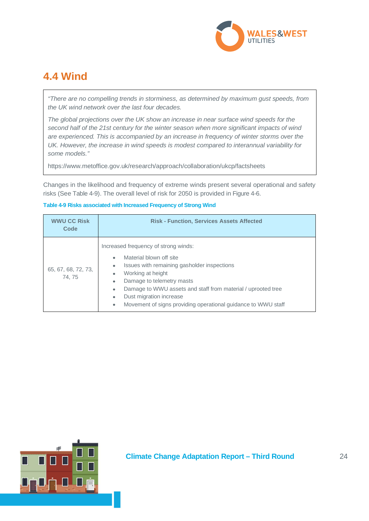

# **4.4 Wind**

*"There are no compelling trends in storminess, as determined by maximum gust speeds, from the UK wind network over the last four decades.*

*The global projections over the UK show an increase in near surface wind speeds for the second half of the 21st century for the winter season when more significant impacts of wind are experienced. This is accompanied by an increase in frequency of winter storms over the UK. However, the increase in wind speeds is modest compared to interannual variability for some models."*

https://www.metoffice.gov.uk/research/approach/collaboration/ukcp/factsheets

Changes in the likelihood and frequency of extreme winds present several operational and safety risks (See Table 4-9). The overall level of risk for 2050 is provided in Figure 4-6.

### **Table 4-9 Risks associated with Increased Frequency of Strong Wind**

| <b>WWU CC Risk</b><br>Code    | <b>Risk - Function, Services Assets Affected</b>                                                                                                                                                                                                                                                                                                                                                                        |
|-------------------------------|-------------------------------------------------------------------------------------------------------------------------------------------------------------------------------------------------------------------------------------------------------------------------------------------------------------------------------------------------------------------------------------------------------------------------|
| 65, 67, 68, 72, 73,<br>74, 75 | Increased frequency of strong winds:<br>Material blown off site<br>$\bullet$<br>Issues with remaining gasholder inspections<br>$\bullet$<br>Working at height<br>$\bullet$<br>Damage to telemetry masts<br>$\bullet$<br>Damage to WWU assets and staff from material / uprooted tree<br>$\bullet$<br>Dust migration increase<br>$\bullet$<br>Movement of signs providing operational guidance to WWU staff<br>$\bullet$ |

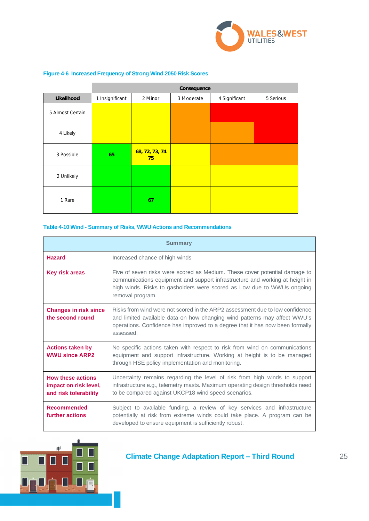

|                  | Consequence     |                      |            |               |           |
|------------------|-----------------|----------------------|------------|---------------|-----------|
| Likelihood       | 1 Insignificant | 2 Minor              | 3 Moderate | 4 Significant | 5 Serious |
| 5 Almost Certain |                 |                      |            |               |           |
| 4 Likely         |                 |                      |            |               |           |
| 3 Possible       | 65              | 68, 72, 73, 74<br>75 |            |               |           |
| 2 Unlikely       |                 |                      |            |               |           |
| 1 Rare           |                 | 67                   |            |               |           |

### **Figure 4-6 Increased Frequency of Strong Wind 2050 Risk Scores**

### **Table 4-10 Wind - Summary of Risks, WWU Actions and Recommendations**

|                                                                            | <b>Summary</b>                                                                                                                                                                                                                                           |
|----------------------------------------------------------------------------|----------------------------------------------------------------------------------------------------------------------------------------------------------------------------------------------------------------------------------------------------------|
| <b>Hazard</b>                                                              | Increased chance of high winds                                                                                                                                                                                                                           |
| <b>Key risk areas</b>                                                      | Five of seven risks were scored as Medium. These cover potential damage to<br>communications equipment and support infrastructure and working at height in<br>high winds. Risks to gasholders were scored as Low due to WWUs ongoing<br>removal program. |
| <b>Changes in risk since</b><br>the second round                           | Risks from wind were not scored in the ARP2 assessment due to low confidence<br>and limited available data on how changing wind patterns may affect WWU's<br>operations. Confidence has improved to a degree that it has now been formally<br>assessed.  |
| <b>Actions taken by</b><br><b>WWU since ARP2</b>                           | No specific actions taken with respect to risk from wind on communications<br>equipment and support infrastructure. Working at height is to be managed<br>through HSE policy implementation and monitoring.                                              |
| <b>How these actions</b><br>impact on risk level,<br>and risk tolerability | Uncertainty remains regarding the level of risk from high winds to support<br>infrastructure e.g., telemetry masts. Maximum operating design thresholds need<br>to be compared against UKCP18 wind speed scenarios.                                      |
| <b>Recommended</b><br>further actions                                      | Subject to available funding, a review of key services and infrastructure<br>potentially at risk from extreme winds could take place. A program can be<br>developed to ensure equipment is sufficiently robust.                                          |

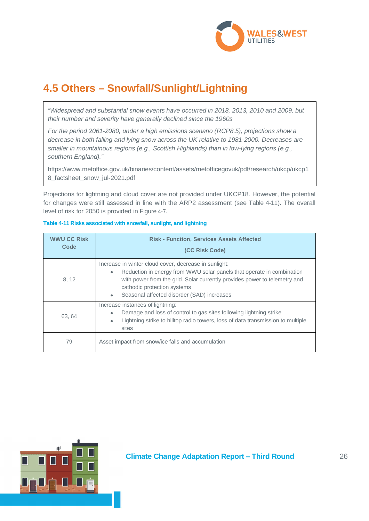

# **4.5 Others – Snowfall/Sunlight/Lightning**

*"Widespread and substantial snow events have occurred in 2018, 2013, 2010 and 2009, but their number and severity have generally declined since the 1960s*

*For the period 2061-2080, under a high emissions scenario (RCP8.5), projections show a decrease in both falling and lying snow across the UK relative to 1981-2000. Decreases are smaller in mountainous regions (e.g., Scottish Highlands) than in low-lying regions (e.g., southern England)."*

https://www.metoffice.gov.uk/binaries/content/assets/metofficegovuk/pdf/research/ukcp/ukcp1 8\_factsheet\_snow\_jul-2021.pdf

Projections for lightning and cloud cover are not provided under UKCP18. However, the potential for changes were still assessed in line with the ARP2 assessment (see Table 4-11). The overall level of risk for 2050 is provided in Figure 4-7.

| <b>WWU CC Risk</b><br>Code | <b>Risk - Function, Services Assets Affected</b><br>(CC Risk Code)                                                                                                                                                                                                                                 |
|----------------------------|----------------------------------------------------------------------------------------------------------------------------------------------------------------------------------------------------------------------------------------------------------------------------------------------------|
| 8, 12                      | Increase in winter cloud cover, decrease in sunlight:<br>Reduction in energy from WWU solar panels that operate in combination<br>٠<br>with power from the grid. Solar currently provides power to telemetry and<br>cathodic protection systems<br>Seasonal affected disorder (SAD) increases<br>٠ |
| 63.64                      | Increase instances of lightning:<br>Damage and loss of control to gas sites following lightning strike<br>Lightning strike to hilltop radio towers, loss of data transmission to multiple<br>$\bullet$<br>sites                                                                                    |
| 79                         | Asset impact from snow/ice falls and accumulation                                                                                                                                                                                                                                                  |

### **Table 4-11 Risks associated with snowfall, sunlight, and lightning**

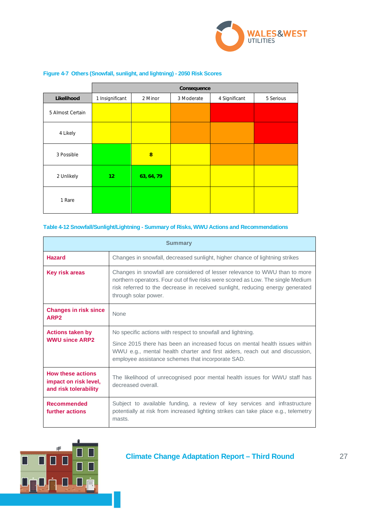

|                  | Consequence     |            |            |               |           |
|------------------|-----------------|------------|------------|---------------|-----------|
| Likelihood       | 1 Insignificant | 2 Minor    | 3 Moderate | 4 Significant | 5 Serious |
| 5 Almost Certain |                 |            |            |               |           |
| 4 Likely         |                 |            |            |               |           |
| 3 Possible       |                 | 8          |            |               |           |
| 2 Unlikely       | 12 <sup>2</sup> | 63, 64, 79 |            |               |           |
| 1 Rare           |                 |            |            |               |           |

### **Figure 4-7 Others (Snowfall, sunlight, and lightning) - 2050 Risk Scores**

### **Table 4-12 Snowfall/Sunlight/Lightning - Summary of Risks, WWU Actions and Recommendations**

|                                                                            | <b>Summary</b>                                                                                                                                                                                                                                                          |  |  |  |  |  |  |
|----------------------------------------------------------------------------|-------------------------------------------------------------------------------------------------------------------------------------------------------------------------------------------------------------------------------------------------------------------------|--|--|--|--|--|--|
| <b>Hazard</b>                                                              | Changes in snowfall, decreased sunlight, higher chance of lightning strikes                                                                                                                                                                                             |  |  |  |  |  |  |
| <b>Key risk areas</b>                                                      | Changes in snowfall are considered of lesser relevance to WWU than to more<br>northern operators. Four out of five risks were scored as Low. The single Medium<br>risk referred to the decrease in received sunlight, reducing energy generated<br>through solar power. |  |  |  |  |  |  |
| <b>Changes in risk since</b><br>ARP <sub>2</sub>                           | <b>None</b>                                                                                                                                                                                                                                                             |  |  |  |  |  |  |
| <b>Actions taken by</b>                                                    | No specific actions with respect to snowfall and lightning.                                                                                                                                                                                                             |  |  |  |  |  |  |
| <b>WWU since ARP2</b>                                                      | Since 2015 there has been an increased focus on mental health issues within<br>WWU e.g., mental health charter and first aiders, reach out and discussion,<br>employee assistance schemes that incorporate SAD.                                                         |  |  |  |  |  |  |
| <b>How these actions</b><br>impact on risk level,<br>and risk tolerability | The likelihood of unrecognised poor mental health issues for WWU staff has<br>decreased overall.                                                                                                                                                                        |  |  |  |  |  |  |
| <b>Recommended</b><br>further actions                                      | Subject to available funding, a review of key services and infrastructure<br>potentially at risk from increased lighting strikes can take place e.g., telemetry<br>masts.                                                                                               |  |  |  |  |  |  |

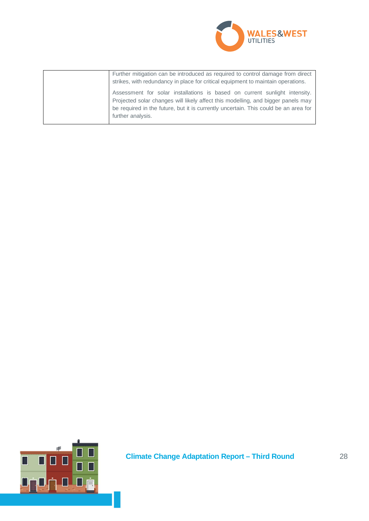

| Further mitigation can be introduced as required to control damage from direct<br>strikes, with redundancy in place for critical equipment to maintain operations.                                                                                                         |
|----------------------------------------------------------------------------------------------------------------------------------------------------------------------------------------------------------------------------------------------------------------------------|
| Assessment for solar installations is based on current sunlight intensity.<br>Projected solar changes will likely affect this modelling, and bigger panels may<br>be required in the future, but it is currently uncertain. This could be an area for<br>further analysis. |

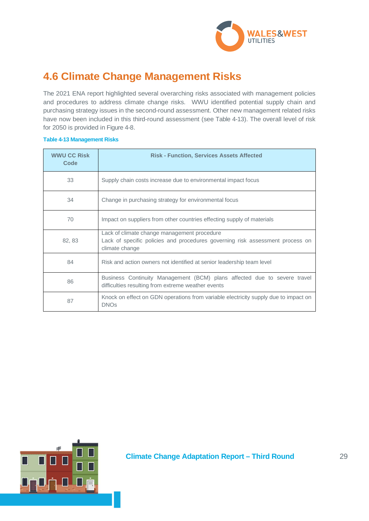

# **4.6 Climate Change Management Risks**

The 2021 ENA report highlighted several overarching risks associated with management policies and procedures to address climate change risks. WWU identified potential supply chain and purchasing strategy issues in the second-round assessment. Other new management related risks have now been included in this third-round assessment (see Table 4-13). The overall level of risk for 2050 is provided in Figure 4-8.

### **Table 4-13 Management Risks**

| <b>WWU CC Risk</b><br>Code | <b>Risk - Function, Services Assets Affected</b>                                                                                               |
|----------------------------|------------------------------------------------------------------------------------------------------------------------------------------------|
| 33                         | Supply chain costs increase due to environmental impact focus                                                                                  |
| 34                         | Change in purchasing strategy for environmental focus                                                                                          |
| 70                         | Impact on suppliers from other countries effecting supply of materials                                                                         |
| 82, 83                     | Lack of climate change management procedure<br>Lack of specific policies and procedures governing risk assessment process on<br>climate change |
| 84                         | Risk and action owners not identified at senior leadership team level                                                                          |
| 86                         | Business Continuity Management (BCM) plans affected due to severe travel<br>difficulties resulting from extreme weather events                 |
| 87                         | Knock on effect on GDN operations from variable electricity supply due to impact on<br><b>DNOs</b>                                             |

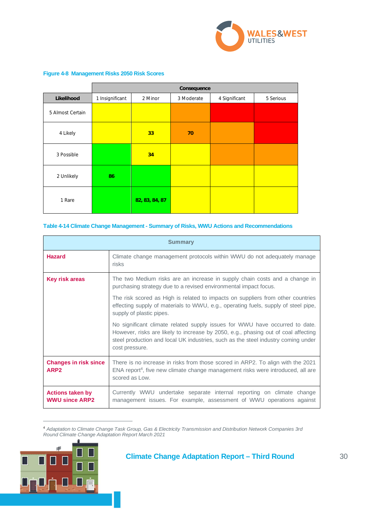

|                  | Consequence     |                |            |               |           |  |  |
|------------------|-----------------|----------------|------------|---------------|-----------|--|--|
| Likelihood       | 1 Insignificant | 2 Minor        | 3 Moderate | 4 Significant | 5 Serious |  |  |
| 5 Almost Certain |                 |                |            |               |           |  |  |
| 4 Likely         |                 | 33             | 70         |               |           |  |  |
| 3 Possible       |                 | 34             |            |               |           |  |  |
| 2 Unlikely       | 86              |                |            |               |           |  |  |
| 1 Rare           |                 | 82, 83, 84, 87 |            |               |           |  |  |

### **Figure 4-8 Management Risks 2050 Risk Scores**

### **Table 4-14 Climate Change Management - Summary of Risks, WWU Actions and Recommendations**

|                                                  | <b>Summary</b>                                                                                                                                                                                                                                                           |  |  |  |  |  |
|--------------------------------------------------|--------------------------------------------------------------------------------------------------------------------------------------------------------------------------------------------------------------------------------------------------------------------------|--|--|--|--|--|
| <b>Hazard</b>                                    | Climate change management protocols within WWU do not adequately manage<br>risks                                                                                                                                                                                         |  |  |  |  |  |
| Key risk areas                                   | The two Medium risks are an increase in supply chain costs and a change in<br>purchasing strategy due to a revised environmental impact focus.                                                                                                                           |  |  |  |  |  |
|                                                  | The risk scored as High is related to impacts on suppliers from other countries<br>effecting supply of materials to WWU, e.g., operating fuels, supply of steel pipe,<br>supply of plastic pipes.                                                                        |  |  |  |  |  |
|                                                  | No significant climate related supply issues for WWU have occurred to date.<br>However, risks are likely to increase by 2050, e.g., phasing out of coal affecting<br>steel production and local UK industries, such as the steel industry coming under<br>cost pressure. |  |  |  |  |  |
| <b>Changes in risk since</b><br>ARP <sub>2</sub> | There is no increase in risks from those scored in ARP2. To align with the 2021<br>ENA report <sup>4</sup> , five new climate change management risks were introduced, all are<br>scored as Low.                                                                         |  |  |  |  |  |
| <b>Actions taken by</b><br><b>WWU since ARP2</b> | Currently WWU undertake separate internal reporting on climate change<br>management issues. For example, assessment of WWU operations against                                                                                                                            |  |  |  |  |  |

<sup>4</sup> *Adaptation to Climate Change Task Group, Gas & Electricity Transmission and Distribution Network Companies 3rd Round Climate Change Adaptation Report March 2021*

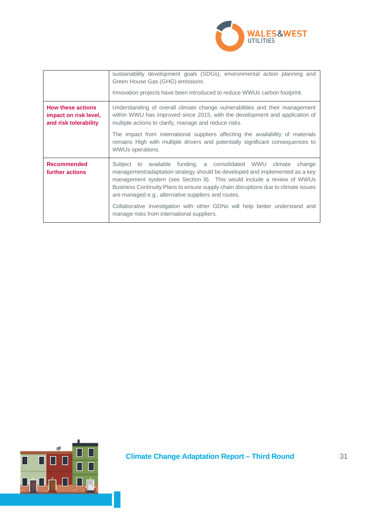

|                                                                            | sustainability development goals (SDGs), environmental action planning and<br>Green House Gas (GHG) emissions.<br>Innovation projects have been introduced to reduce WWUs carbon footprint.                                                                                                                                                                              |
|----------------------------------------------------------------------------|--------------------------------------------------------------------------------------------------------------------------------------------------------------------------------------------------------------------------------------------------------------------------------------------------------------------------------------------------------------------------|
| <b>How these actions</b><br>impact on risk level,<br>and risk tolerability | Understanding of overall climate change vulnerabilities and their management<br>within WWU has improved since 2015, with the development and application of<br>multiple actions to clarify, manage and reduce risks.                                                                                                                                                     |
|                                                                            | The impact from international suppliers affecting the availability of materials<br>remains High with multiple drivers and potentially significant consequences to<br>WWUs operations.                                                                                                                                                                                    |
| <b>Recommended</b><br>further actions                                      | Subject to available funding, a consolidated WWU climate<br>change<br>management/adaptation strategy should be developed and implemented as a key<br>management system (see Section 9). This would include a review of WWUs<br>Business Continuity Plans to ensure supply chain disruptions due to climate issues<br>are managed e.g., alternative suppliers and routes. |
|                                                                            | Collaborative investigation with other GDNs will help better understand and<br>manage risks from international suppliers.                                                                                                                                                                                                                                                |

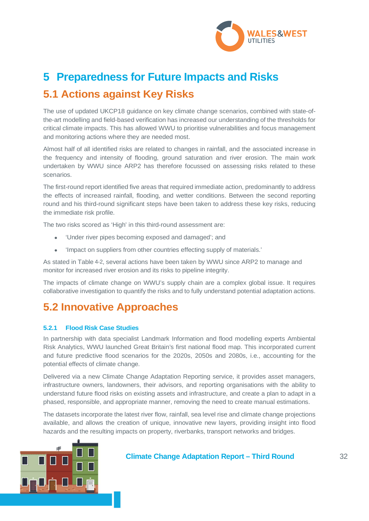

# **5 Preparedness for Future Impacts and Risks 5.1 Actions against Key Risks**

The use of updated UKCP18 guidance on key climate change scenarios, combined with state-ofthe-art modelling and field-based verification has increased our understanding of the thresholds for critical climate impacts. This has allowed WWU to prioritise vulnerabilities and focus management and monitoring actions where they are needed most.

Almost half of all identified risks are related to changes in rainfall, and the associated increase in the frequency and intensity of flooding, ground saturation and river erosion. The main work undertaken by WWU since ARP2 has therefore focussed on assessing risks related to these scenarios.

The first-round report identified five areas that required immediate action, predominantly to address the effects of increased rainfall, flooding, and wetter conditions. Between the second reporting round and his third-round significant steps have been taken to address these key risks, reducing the immediate risk profile.

The two risks scored as 'High' in this third-round assessment are:

- 'Under river pipes becoming exposed and damaged'; and
- 'Impact on suppliers from other countries effecting supply of materials.'

As stated in Table 4-2, several actions have been taken by WWU since ARP2 to manage and monitor for increased river erosion and its risks to pipeline integrity.

The impacts of climate change on WWU's supply chain are a complex global issue. It requires collaborative investigation to quantify the risks and to fully understand potential adaptation actions.

# **5.2 Innovative Approaches**

### **5.2.1 Flood Risk Case Studies**

In partnership with data specialist Landmark Information and flood modelling experts Ambiental Risk Analytics, WWU launched Great Britain's first national flood map. This incorporated current and future predictive flood scenarios for the 2020s, 2050s and 2080s, i.e., accounting for the potential effects of climate change.

Delivered via a new Climate Change Adaptation Reporting service, it provides asset managers, infrastructure owners, landowners, their advisors, and reporting organisations with the ability to understand future flood risks on existing assets and infrastructure, and create a plan to adapt in a phased, responsible, and appropriate manner, removing the need to create manual estimations.

The datasets incorporate the latest river flow, rainfall, sea level rise and climate change projections available, and allows the creation of unique, innovative new layers, providing insight into flood hazards and the resulting impacts on property, riverbanks, transport networks and bridges.

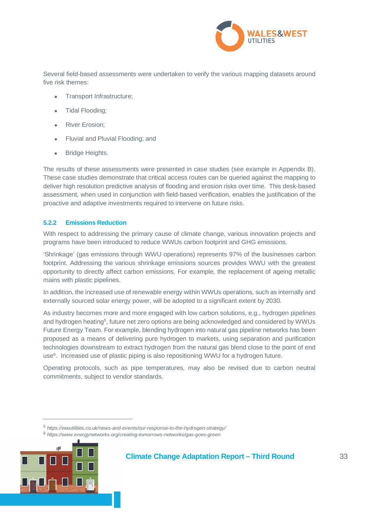

Several field-based assessments were undertaken to verify the various mapping datasets around five risk themes:

- Transport Infrastructure;
- Tidal Flooding;
- River Erosion;
- Fluvial and Pluvial Flooding; and
- Bridge Heights.

The results of these assessments were presented in case studies (see example in Appendix B). These case studies demonstrate that critical access routes can be queried against the mapping to deliver high resolution predictive analysis of flooding and erosion risks over time. This desk-based assessment, when used in conjunction with field-based verification, enables the justification of the proactive and adaptive investments required to intervene on future risks.

### **5.2.2 Emissions Reduction**

With respect to addressing the primary cause of climate change, various innovation projects and programs have been introduced to reduce WWUs carbon footprint and GHG emissions.

'Shrinkage' (gas emissions through WWU operations) represents 97% of the businesses carbon footprint. Addressing the various shrinkage emissions sources provides WWU with the greatest opportunity to directly affect carbon emissions. For example, the replacement of ageing metallic mains with plastic pipelines.

In addition, the increased use of renewable energy within WWUs operations, such as internally and externally sourced solar energy power, will be adopted to a significant extent by 2030.

As industry becomes more and more engaged with low carbon solutions, e.g., hydrogen pipelines and hydrogen heating<sup>5</sup>, future net zero options are being acknowledged and considered by WWUs Future Energy Team. For example, blending hydrogen into natural gas pipeline networks has been proposed as a means of delivering pure hydrogen to markets, using separation and purification technologies downstream to extract hydrogen from the natural gas blend close to the point of end use<sup>6</sup>. Increased use of plastic piping is also repositioning WWU for a hydrogen future.

Operating protocols, such as pipe temperatures, may also be revised due to carbon neutral commitments, subject to vendor standards.

<sup>6</sup>  *https://www.energynetworks.org/creating-tomorrows-networks/gas-goes-green*



<sup>5</sup>  *https://wwutilities.co.uk/news-and-events/our-response-to-the-hydrogen-strategy/*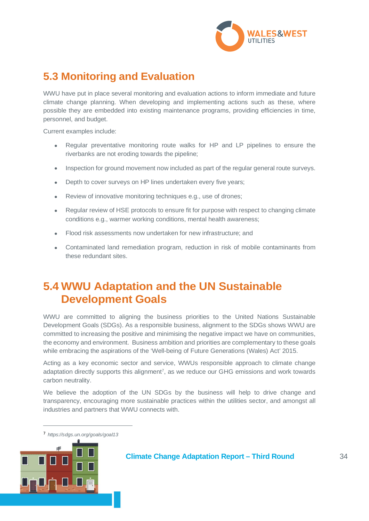

# **5.3 Monitoring and Evaluation**

WWU have put in place several monitoring and evaluation actions to inform immediate and future climate change planning. When developing and implementing actions such as these, where possible they are embedded into existing maintenance programs, providing efficiencies in time, personnel, and budget.

Current examples include:

- Regular preventative monitoring route walks for HP and LP pipelines to ensure the riverbanks are not eroding towards the pipeline;
- Inspection for ground movement now included as part of the regular general route surveys.
- Depth to cover surveys on HP lines undertaken every five years;
- Review of innovative monitoring techniques e.g., use of drones;
- Regular review of HSE protocols to ensure fit for purpose with respect to changing climate conditions e.g., warmer working conditions, mental health awareness;
- Flood risk assessments now undertaken for new infrastructure; and
- Contaminated land remediation program, reduction in risk of mobile contaminants from these redundant sites.

# **5.4 WWU Adaptation and the UN Sustainable Development Goals**

WWU are committed to aligning the business priorities to the United Nations Sustainable Development Goals (SDGs). As a responsible business, alignment to the SDGs shows WWU are committed to increasing the positive and minimising the negative impact we have on communities, the economy and environment. Business ambition and priorities are complementary to these goals while embracing the aspirations of the 'Well-being of Future Generations (Wales) Act' 2015.

Acting as a key economic sector and service, WWUs responsible approach to climate change adaptation directly supports this alignment<sup>7</sup>, as we reduce our GHG emissions and work towards carbon neutrality.

We believe the adoption of the UN SDGs by the business will help to drive change and transparency, encouraging more sustainable practices within the utilities sector, and amongst all industries and partners that WWU connects with.

<sup>7</sup> *https://sdgs.un.org/goals/goal13*

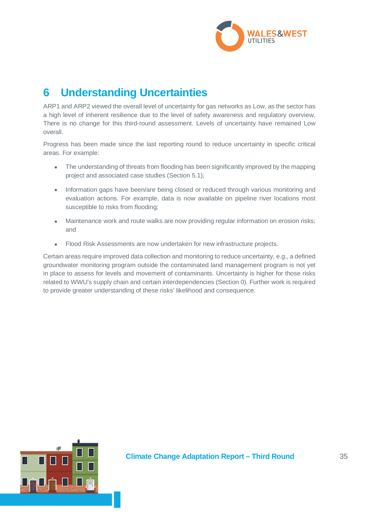

# **6 Understanding Uncertainties**

ARP1 and ARP2 viewed the overall level of uncertainty for gas networks as Low, as the sector has a high level of inherent resilience due to the level of safety awareness and regulatory overview. There is no change for this third-round assessment. Levels of uncertainty have remained Low overall.

Progress has been made since the last reporting round to reduce uncertainty in specific critical areas. For example:

- The understanding of threats from flooding has been significantly improved by the mapping project and associated case studies (Section 5.1);
- Information gaps have been/are being closed or reduced through various monitoring and evaluation actions. For example, data is now available on pipeline river locations most susceptible to risks from flooding;
- Maintenance work and route walks are now providing regular information on erosion risks; and
- Flood Risk Assessments are now undertaken for new infrastructure projects.

Certain areas require improved data collection and monitoring to reduce uncertainty, e.g., a defined groundwater monitoring program outside the contaminated land management program is not yet in place to assess for levels and movement of contaminants. Uncertainty is higher for those risks related to WWU's supply chain and certain interdependencies (Section 0). Further work is required to provide greater understanding of these risks' likelihood and consequence.

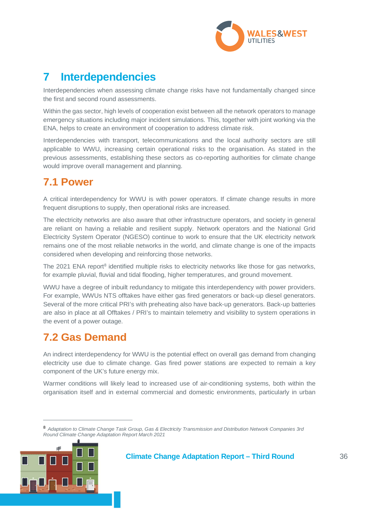

# **7 Interdependencies**

Interdependencies when assessing climate change risks have not fundamentally changed since the first and second round assessments.

Within the gas sector, high levels of cooperation exist between all the network operators to manage emergency situations including major incident simulations. This, together with joint working via the ENA, helps to create an environment of cooperation to address climate risk.

Interdependencies with transport, telecommunications and the local authority sectors are still applicable to WWU, increasing certain operational risks to the organisation. As stated in the previous assessments, establishing these sectors as co-reporting authorities for climate change would improve overall management and planning.

# **7.1 Power**

A critical interdependency for WWU is with power operators. If climate change results in more frequent disruptions to supply, then operational risks are increased.

The electricity networks are also aware that other infrastructure operators, and society in general are reliant on having a reliable and resilient supply. Network operators and the National Grid Electricity System Operator (NGESO) continue to work to ensure that the UK electricity network remains one of the most reliable networks in the world, and climate change is one of the impacts considered when developing and reinforcing those networks.

The 2021 ENA report<sup>8</sup> identified multiple risks to electricity networks like those for gas networks, for example pluvial, fluvial and tidal flooding, higher temperatures, and ground movement.

WWU have a degree of inbuilt redundancy to mitigate this interdependency with power providers. For example, WWUs NTS offtakes have either gas fired generators or back-up diesel generators. Several of the more critical PRI's with preheating also have back-up generators. Back-up batteries are also in place at all Offtakes / PRI's to maintain telemetry and visibility to system operations in the event of a power outage.

# **7.2 Gas Demand**

An indirect interdependency for WWU is the potential effect on overall gas demand from changing electricity use due to climate change. Gas fired power stations are expected to remain a key component of the UK's future energy mix.

Warmer conditions will likely lead to increased use of air-conditioning systems, both within the organisation itself and in external commercial and domestic environments, particularly in urban

<sup>8</sup> *Adaptation to Climate Change Task Group, Gas & Electricity Transmission and Distribution Network Companies 3rd Round Climate Change Adaptation Report March 2021*

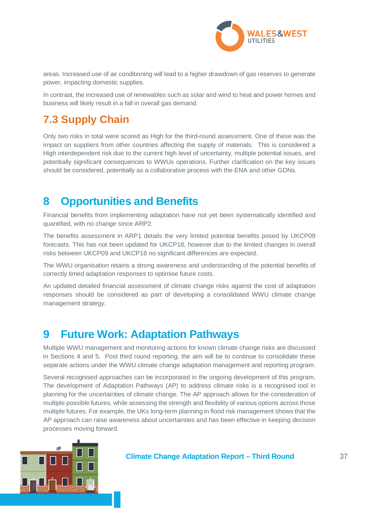

areas. Increased use of air conditioning will lead to a higher drawdown of gas reserves to generate power, impacting domestic supplies.

In contrast, the increased use of renewables such as solar and wind to heat and power homes and business will likely result in a fall in overall gas demand.

# **7.3 Supply Chain**

Only two risks in total were scored as High for the third-round assessment. One of these was the impact on suppliers from other countries affecting the supply of materials. This is considered a High interdependent risk due to the current high level of uncertainty, multiple potential issues, and potentially significant consequences to WWUs operations. Further clarification on the key issues should be considered, potentially as a collaborative process with the ENA and other GDNs.

# **8 Opportunities and Benefits**

Financial benefits from implementing adaptation have not yet been systematically identified and quantified, with no change since ARP2.

The benefits assessment in ARP1 details the very limited potential benefits posed by UKCP09 forecasts. This has not been updated for UKCP18, however due to the limited changes in overall risks between UKCP09 and UKCP18 no significant differences are expected.

The WWU organisation retains a strong awareness and understanding of the potential benefits of correctly timed adaptation responses to optimise future costs.

An updated detailed financial assessment of climate change risks against the cost of adaptation responses should be considered as part of developing a consolidated WWU climate change management strategy.

# **9 Future Work: Adaptation Pathways**

Multiple WWU management and monitoring actions for known climate change risks are discussed in Sections 4 and 5. Post third round reporting, the aim will be to continue to consolidate these separate actions under the WWU climate change adaptation management and reporting program.

Several recognised approaches can be incorporated in the ongoing development of this program. The development of Adaptation Pathways (AP) to address climate risks is a recognised tool in planning for the uncertainties of climate change. The AP approach allows for the consideration of multiple possible futures, while assessing the strength and flexibility of various options across those multiple futures. For example, the UKs long-term planning in flood risk management shows that the AP approach can raise awareness about uncertainties and has been effective in keeping decision processes moving forward.

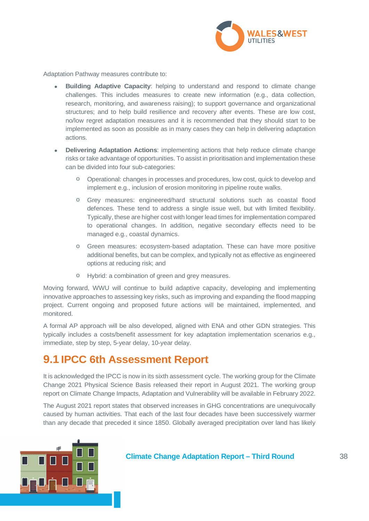

Adaptation Pathway measures contribute to:

- **Building Adaptive Capacity**: helping to understand and respond to climate change challenges. This includes measures to create new information (e.g., data collection, research, monitoring, and awareness raising); to support governance and organizational structures; and to help build resilience and recovery after events. These are low cost, no/low regret adaptation measures and it is recommended that they should start to be implemented as soon as possible as in many cases they can help in delivering adaptation actions.
- **Delivering Adaptation Actions**: implementing actions that help reduce climate change risks or take advantage of opportunities. To assist in prioritisation and implementation these can be divided into four sub-categories:
	- o Operational: changes in processes and procedures, low cost, quick to develop and implement e.g., inclusion of erosion monitoring in pipeline route walks.
	- o Grey measures: engineered/hard structural solutions such as coastal flood defences. These tend to address a single issue well, but with limited flexibility. Typically, these are higher cost with longer lead times for implementation compared to operational changes. In addition, negative secondary effects need to be managed e.g., coastal dynamics.
	- o Green measures: ecosystem-based adaptation. These can have more positive additional benefits, but can be complex, and typically not as effective as engineered options at reducing risk; and
	- o Hybrid: a combination of green and grey measures.

Moving forward, WWU will continue to build adaptive capacity, developing and implementing innovative approaches to assessing key risks, such as improving and expanding the flood mapping project. Current ongoing and proposed future actions will be maintained, implemented, and monitored.

A formal AP approach will be also developed, aligned with ENA and other GDN strategies. This typically includes a costs/benefit assessment for key adaptation implementation scenarios e.g., immediate, step by step, 5-year delay, 10-year delay.

# **9.1 IPCC 6th Assessment Report**

It is acknowledged the IPCC is now in its sixth assessment cycle. The working group for the Climate Change 2021 Physical Science Basis released their report in August 2021. The working group report on Climate Change Impacts, Adaptation and Vulnerability will be available in February 2022.

The August 2021 report states that observed increases in GHG concentrations are unequivocally caused by human activities. That each of the last four decades have been successively warmer than any decade that preceded it since 1850. Globally averaged precipitation over land has likely

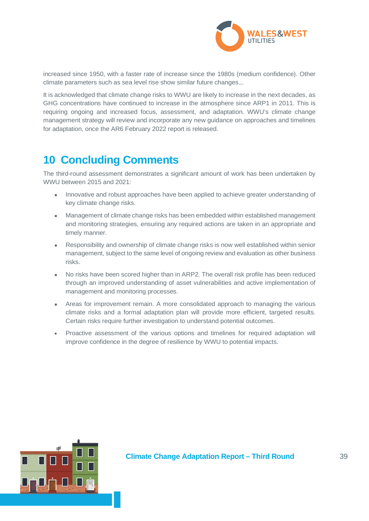

increased since 1950, with a faster rate of increase since the 1980s (medium confidence). Other climate parameters such as sea level rise show similar future changes.,.

It is acknowledged that climate change risks to WWU are likely to increase in the next decades, as GHG concentrations have continued to increase in the atmosphere since ARP1 in 2011. This is requiring ongoing and increased focus, assessment, and adaptation. WWU's climate change management strategy will review and incorporate any new guidance on approaches and timelines for adaptation, once the AR6 February 2022 report is released.

# **10 Concluding Comments**

The third-round assessment demonstrates a significant amount of work has been undertaken by WWU between 2015 and 2021:

- Innovative and robust approaches have been applied to achieve greater understanding of key climate change risks.
- Management of climate change risks has been embedded within established management and monitoring strategies, ensuring any required actions are taken in an appropriate and timely manner.
- Responsibility and ownership of climate change risks is now well established within senior management, subject to the same level of ongoing review and evaluation as other business risks.
- No risks have been scored higher than in ARP2. The overall risk profile has been reduced through an improved understanding of asset vulnerabilities and active implementation of management and monitoring processes.
- Areas for improvement remain. A more consolidated approach to managing the various climate risks and a formal adaptation plan will provide more efficient, targeted results. Certain risks require further investigation to understand potential outcomes.
- Proactive assessment of the various options and timelines for required adaptation will improve confidence in the degree of resilience by WWU to potential impacts.

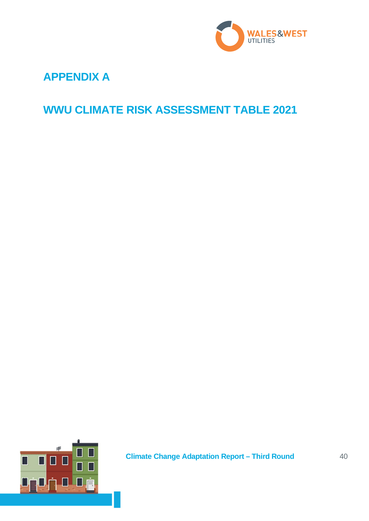

# **APPENDIX A**

# **WWU CLIMATE RISK ASSESSMENT TABLE 2021**

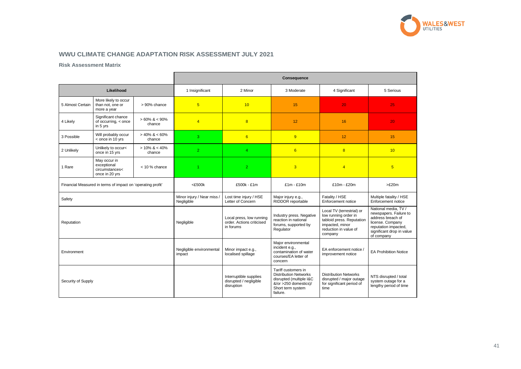# **WWU CLIMATE CHANGE ADAPTATION RISK ASSESSMENT JULY 2021**

### **Risk Assessment Matrix**

|                    |                                                                 |                            | <b>Consequence</b>                     |                                                                    |                                                                                                                                          |                                                                                                                                       |                                                                                                                                                            |  |  |
|--------------------|-----------------------------------------------------------------|----------------------------|----------------------------------------|--------------------------------------------------------------------|------------------------------------------------------------------------------------------------------------------------------------------|---------------------------------------------------------------------------------------------------------------------------------------|------------------------------------------------------------------------------------------------------------------------------------------------------------|--|--|
|                    | Likelihood                                                      |                            | 1 Insignificant                        | 2 Minor                                                            | 3 Moderate                                                                                                                               | 4 Significant                                                                                                                         | 5 Serious                                                                                                                                                  |  |  |
| 5 Almost Certain   | More likely to occur<br>than not, one or<br>more a year         | > 90% chance               | $5\overline{)}$                        | 10                                                                 | 15                                                                                                                                       | 20                                                                                                                                    | 25                                                                                                                                                         |  |  |
| 4 Likely           | Significant chance<br>of occurring, < once<br>in 5 yrs          | $>60\%$ & < 90%<br>chance  | $\overline{4}$                         | 8                                                                  | 12                                                                                                                                       | 16                                                                                                                                    | 20                                                                                                                                                         |  |  |
| 3 Possible         | Will probably occur<br>< once in 10 yrs                         | $> 40\%$ & < 60%<br>chance | 3                                      | 6                                                                  | 9                                                                                                                                        | 12                                                                                                                                    | 15                                                                                                                                                         |  |  |
| 2 Unlikely         | Unlikely to occur<<br>once in 15 yrs                            | $> 10\% \< 40\%$<br>chance | $\overline{2}$                         | $\overline{4}$                                                     | $6\overline{6}$                                                                                                                          | 8                                                                                                                                     | 10                                                                                                                                                         |  |  |
| 1 Rare             | May occur in<br>exceptional<br>circumstances<<br>once in 20 yrs | $<$ 10 % chance            | $\blacktriangleleft$                   | $\overline{2}$                                                     | $\overline{3}$                                                                                                                           | $\overline{4}$                                                                                                                        | $5\overline{)}$                                                                                                                                            |  |  |
|                    | Financial Measured in terms of impact on 'operating profit'     |                            | $<$ £500 $k$                           | £500k - £1m                                                        | $£1m - £10m$                                                                                                                             | £10m - £20m                                                                                                                           | >E20m                                                                                                                                                      |  |  |
| Safety             |                                                                 |                            | Minor injury / Near miss<br>Negligible | Lost time injury / HSE<br>Letter of Concern                        | Major injury e.g.,<br>RIDDOR reportable                                                                                                  | Fatality / HSE<br>Enforcement notice                                                                                                  | Multiple fatality / HSE<br>Enforcement notice                                                                                                              |  |  |
| Reputation         |                                                                 |                            | Negligible                             | Local press, low running<br>order. Actions criticised<br>in forums | Industry press. Negative<br>reaction in national<br>forums, supported by<br>Regulator                                                    | Local TV (terrestrial) or<br>low running order in<br>tabloid press. Reputation<br>impacted, minor<br>reduction in value of<br>company | National media, TV /<br>newspapers. Failure to<br>address breach of<br>license. Company<br>reputation impacted,<br>significant drop in value<br>of company |  |  |
| Environment        |                                                                 |                            | Negligible environmental<br>impact     | Minor impact e.g.,<br>localised spillage                           | Major environmental<br>incident e.g.,<br>contamination of water<br>courses/EA letter of<br>concern                                       | EA enforcement notice /<br>improvement notice                                                                                         | <b>EA Prohibition Notice</b>                                                                                                                               |  |  |
| Security of Supply |                                                                 |                            |                                        | Interruptible supplies<br>disrupted / negligible<br>disruption     | Tariff customers in<br><b>Distribution Networks</b><br>disrupted (multiple I&C<br>&/or >250 domestics)/<br>Short term system<br>failure. | <b>Distribution Networks</b><br>disrupted / major outage<br>for significant period of<br>time                                         | NTS disrupted / total<br>system outage for a<br>lengthy period of time                                                                                     |  |  |



| ious                                                             |
|------------------------------------------------------------------|
| 5                                                                |
| $\overline{\phantom{0}}$                                         |
| ì                                                                |
| j                                                                |
|                                                                  |
| 0m                                                               |
| ty / HSE<br>notice                                               |
| ia, TV/<br>Failure to<br>ch of<br>pany<br>pacted,<br>pp in value |
| n Notice                                                         |
| d / total<br>je for a<br>d of time                               |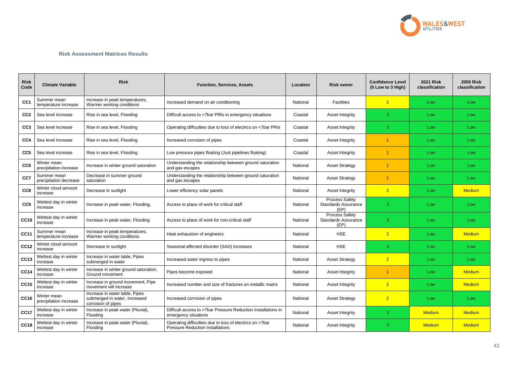### **Risk Assessment Matrices Results**

| <b>Risk</b><br>Code | <b>Climate Variable</b>               | <b>Risk</b>                                                                           | <b>Function, Services, Assets</b>                                                                   | Location | <b>Risk owner</b>                                           | <b>Confidence Level</b><br>(0 Low to 3 High) | <b>2021 Risk</b><br>classification | <b>2050 Risk</b><br>classification |
|---------------------|---------------------------------------|---------------------------------------------------------------------------------------|-----------------------------------------------------------------------------------------------------|----------|-------------------------------------------------------------|----------------------------------------------|------------------------------------|------------------------------------|
| CC <sub>1</sub>     | Summer mean<br>temperature increase   | Increase in peak temperatures,<br>Warmer working conditions                           | Increased demand on air conditioning                                                                | National | Facilities                                                  | $\overline{2}$                               | Low                                | Low                                |
| CC <sub>2</sub>     | Sea level increase                    | Rise in sea level, Flooding                                                           | Difficult access to <7bar PRIs in emergency situations                                              | Coastal  | <b>Asset Integrity</b>                                      | 3                                            | Low                                | Low                                |
| CC <sub>3</sub>     | Sea level increase                    | Rise in sea level, Flooding                                                           | Operating difficulties due to loss of electrics on <7bar PRIs                                       | Coastal  | <b>Asset Integrity</b>                                      | 3                                            | Low                                | Low                                |
| CC4                 | Sea level increase                    | Rise in sea level, Flooding                                                           | Increased corrosion of pipes                                                                        | Coastal  | <b>Asset Integrity</b>                                      |                                              | Low                                | Low                                |
| CC <sub>5</sub>     | Sea level increase                    | Rise in sea level, Flooding                                                           | Low pressure pipes floating (Just pipelines floating)                                               | Coastal  | Asset Integrity                                             |                                              | Low                                | Low                                |
| CC <sub>6</sub>     | Winter mean<br>precipitation increase | Increase in winter ground saturation                                                  | Understanding the relationship between ground saturation<br>and gas escapes                         | National | <b>Asset Strategy</b>                                       |                                              | Low                                | Low                                |
| CC7                 | Summer mean<br>precipitation decrease | Decrease in summer ground<br>saturation                                               | Understanding the relationship between ground saturation<br>and gas escapes                         | National | <b>Asset Strategy</b>                                       | -1                                           | Low                                | Low                                |
| CC <sub>8</sub>     | Winter cloud amount<br>increase       | Decrease in sunlight                                                                  | Lower efficiency solar panels                                                                       | National | <b>Asset Integrity</b>                                      | $\overline{2}$                               | Low                                | <b>Medium</b>                      |
| CC <sub>9</sub>     | Wettest day in winter<br>increase     | Increase in peak water, Flooding,                                                     | Access to place of work for critical staff                                                          | National | <b>Process Safety</b><br><b>Standards Assurance</b><br>(EP) | 3                                            | Low                                | Low                                |
| <b>CC10</b>         | Wettest day in winter<br>increase     | Increase in peak water, Flooding                                                      | Access to place of work for non-critical staff                                                      | National | <b>Process Safety</b><br><b>Standards Assurance</b><br>(EP) | 3                                            | Low                                | Low                                |
| <b>CC11</b>         | Summer mean<br>temperature increase   | Increase in peak temperatures,<br>Warmer working conditions                           | Heat exhaustion of engineers                                                                        | National | <b>HSE</b>                                                  | $\overline{2}$                               | Low                                | <b>Medium</b>                      |
| <b>CC12</b>         | Winter cloud amount<br>increase       | Decrease in sunlight                                                                  | Seasonal affected disorder (SAD) increases                                                          | National | <b>HSE</b>                                                  | 3                                            | Low                                | Low                                |
| <b>CC13</b>         | Wettest day in winter<br>increase     | Increase in water table, Pipes<br>submerged in water                                  | Increased water ingress to pipes                                                                    | National | <b>Asset Strategy</b>                                       | $\overline{2}$                               | Low                                | Low                                |
| <b>CC14</b>         | Wettest day in winter<br>increase     | Increase in winter ground saturation,<br>Ground movement                              | Pipes become exposed                                                                                | National | <b>Asset Integrity</b>                                      |                                              | Low                                | <b>Medium</b>                      |
| <b>CC15</b>         | Wettest day in winter<br>increase     | Increase in ground movement, Pipe<br>movement will increase                           | Increased number and size of fractures on metallic mains                                            | National | <b>Asset Integrity</b>                                      | $\overline{2}$                               | Low                                | <b>Medium</b>                      |
| <b>CC16</b>         | Winter mean<br>precipitation increase | Increase in water table, Pipes<br>submerged in water, Increased<br>corrosion of pipes | Increased corrosion of pipes                                                                        | National | <b>Asset Strategy</b>                                       | $\overline{2}$                               | Low                                | Low                                |
| <b>CC17</b>         | Wettest day in winter<br>increase     | Increase in peak water (Pluvial),<br>Flooding                                         | Difficult access to >7bar Pressure Reduction Installations in<br>emergency situations               | National | <b>Asset Integrity</b>                                      | 3                                            | <b>Medium</b>                      | <b>Medium</b>                      |
| <b>CC18</b>         | Wettest day in winter<br>increase     | Increase in peak water (Pluvial),<br>Flooding                                         | Operating difficulties due to loss of electrics on >7bar<br><b>Pressure Reduction Installations</b> | National | <b>Asset Integrity</b>                                      | 3                                            | <b>Medium</b>                      | <b>Medium</b>                      |

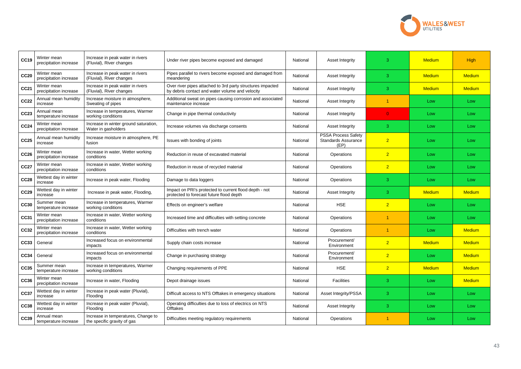| <b>CC19</b> | Winter mean<br>precipitation increase | Increase in peak water in rivers<br>(Fluvial), River changes       | Under river pipes become exposed and damaged                                                                  | National | <b>Asset Integrity</b>                                           | 3              | <b>Medium</b> | <b>High</b>   |
|-------------|---------------------------------------|--------------------------------------------------------------------|---------------------------------------------------------------------------------------------------------------|----------|------------------------------------------------------------------|----------------|---------------|---------------|
| <b>CC20</b> | Winter mean<br>precipitation increase | Increase in peak water in rivers<br>(Fluvial), River changes       | Pipes parallel to rivers become exposed and damaged from<br>meandering                                        | National | <b>Asset Integrity</b>                                           | 3              | <b>Medium</b> | <b>Medium</b> |
| <b>CC21</b> | Winter mean<br>precipitation increase | Increase in peak water in rivers<br>(Fluvial), River changes       | Over river pipes attached to 3rd party structures impacted<br>by debris contact and water volume and velocity | National | Asset Integrity                                                  | 3              | <b>Medium</b> | <b>Medium</b> |
| <b>CC22</b> | Annual mean humidity<br>increase      | Increase moisture in atmosphere,<br>Sweating of pipes              | Additional sweat on pipes causing corrosion and associated<br>maintenance increase                            | National | <b>Asset Integrity</b>                                           | -1             | Low           | Low           |
| <b>CC23</b> | Annual mean<br>temperature increase   | Increase in temperatures, Warmer<br>working conditions             | Change in pipe thermal conductivity                                                                           | National | <b>Asset Integrity</b>                                           | $\Omega$       | Low           | Low           |
| <b>CC24</b> | Winter mean<br>precipitation increase | Increase in winter ground saturation,<br>Water in gasholders       | Increase volumes via discharge consents                                                                       | National | <b>Asset Integrity</b>                                           | 3              | Low           | Low           |
| <b>CC25</b> | Annual mean humidity<br>increase      | Increase moisture in atmosphere, PE<br>fusion                      | Issues with bonding of joints                                                                                 | National | <b>PSSA Process Safety</b><br><b>Standards Assurance</b><br>(EP) | $\overline{2}$ | Low           | Low           |
| <b>CC26</b> | Winter mean<br>precipitation increase | Increase in water, Wetter working<br>conditions                    | Reduction in reuse of excavated material                                                                      | National | Operations                                                       | $\overline{2}$ | Low           | Low           |
| <b>CC27</b> | Winter mean<br>precipitation increase | Increase in water, Wetter working<br>conditions                    | Reduction in reuse of recycled material                                                                       | National | Operations                                                       | $\overline{2}$ | Low           | Low           |
| <b>CC28</b> | Wettest day in winter<br>increase     | Increase in peak water, Flooding                                   | Damage to data loggers                                                                                        | National | Operations                                                       | 3              | Low           | Low           |
| <b>CC29</b> | Wettest day in winter<br>increase     | Increase in peak water, Flooding,                                  | Impact on PRI's protected to current flood depth - not<br>protected to forecast future flood depth            | National | <b>Asset Integrity</b>                                           | 3              | <b>Medium</b> | <b>Medium</b> |
| <b>CC30</b> | Summer mean<br>temperature increase   | Increase in temperatures, Warmer<br>working conditions             | Effects on engineer's welfare                                                                                 | National | <b>HSE</b>                                                       | $\overline{2}$ | Low           | Low           |
| <b>CC31</b> | Winter mean<br>precipitation increase | Increase in water, Wetter working<br>conditions                    | Increased time and difficulties with setting concrete                                                         | National | Operations                                                       | -1             | Low           | Low           |
| <b>CC32</b> | Winter mean<br>precipitation increase | Increase in water, Wetter working<br>conditions                    | Difficulties with trench water                                                                                | National | Operations                                                       |                | Low           | <b>Medium</b> |
|             | CC33   General                        | Increased focus on environmental<br>impacts                        | Supply chain costs increase                                                                                   | National | Procurement/<br>Environment                                      | $\overline{2}$ | <b>Medium</b> | <b>Medium</b> |
| <b>CC34</b> | General                               | Increased focus on environmental<br>impacts                        | Change in purchasing strategy                                                                                 | National | Procurement/<br>Environment                                      | $\overline{2}$ | Low           | <b>Medium</b> |
| <b>CC35</b> | Summer mean<br>temperature increase   | Increase in temperatures, Warmer<br>working conditions             | Changing requirements of PPE                                                                                  | National | <b>HSE</b>                                                       | $\overline{2}$ | <b>Medium</b> | <b>Medium</b> |
| <b>CC36</b> | Winter mean<br>precipitation increase | Increase in water, Flooding                                        | Depot drainage issues                                                                                         | National | Facilities                                                       | 3              | Low           | <b>Medium</b> |
| <b>CC37</b> | Wettest day in winter<br>increase     | Increase in peak water (Pluvial),<br>Flooding                      | Difficult access to NTS Offtakes in emergency situations                                                      | National | Asset Integrity/PSSA                                             | 3              | Low           | Low           |
| <b>CC38</b> | Wettest day in winter<br>increase     | Increase in peak water (Pluvial),<br>Flooding                      | Operating difficulties due to loss of electrics on NTS<br><b>Offtakes</b>                                     | National | Asset Integrity                                                  | 3              | Low           | Low           |
| <b>CC39</b> | Annual mean<br>temperature increase   | Increase in temperatures, Change to<br>the specific gravity of gas | Difficulties meeting regulatory requirements                                                                  | National | Operations                                                       | -1             | Low           | Low           |

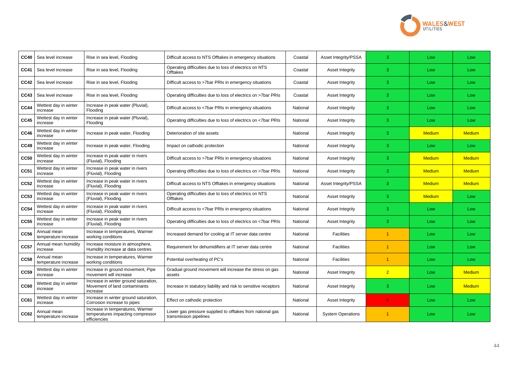| <b>CC40</b> | Sea level increase                  | Rise in sea level, Flooding                                                           | Difficult access to NTS Offtakes in emergency situations                            | Coastal  | Asset Integrity/PSSA     | 3              | Low           | Low           |
|-------------|-------------------------------------|---------------------------------------------------------------------------------------|-------------------------------------------------------------------------------------|----------|--------------------------|----------------|---------------|---------------|
| <b>CC41</b> | Sea level increase                  | Rise in sea level, Flooding                                                           | Operating difficulties due to loss of electrics on NTS<br><b>Offtakes</b>           | Coastal  | Asset Integrity          | 3              | Low           | Low           |
| <b>CC42</b> | Sea level increase                  | Rise in sea level, Flooding                                                           | Difficult access to >7bar PRIs in emergency situations                              | Coastal  | Asset Integrity          | 3              | Low           | Low           |
| <b>CC43</b> | Sea level increase                  | Rise in sea level, Flooding                                                           | Operating difficulties due to loss of electrics on >7bar PRIs                       | Coastal  | <b>Asset Integrity</b>   | 3              | Low           | Low           |
| <b>CC44</b> | Wettest day in winter<br>increase   | Increase in peak water (Pluvial),<br>Flooding                                         | Difficult access to <7bar PRIs in emergency situations                              | National | <b>Asset Integrity</b>   | 3              | Low           | Low           |
| <b>CC45</b> | Wettest day in winter<br>increase   | Increase in peak water (Pluvial),<br>Flooding                                         | Operating difficulties due to loss of electrics on <7bar PRIs                       | National | Asset Integrity          | 3              | Low           | Low           |
| <b>CC46</b> | Wettest day in winter<br>increase   | Increase in peak water, Flooding                                                      | Deterioration of site assets                                                        | National | <b>Asset Integrity</b>   | 3              | <b>Medium</b> | <b>Medium</b> |
| <b>CC49</b> | Wettest day in winter<br>increase   | Increase in peak water, Flooding                                                      | Impact on cathodic protection                                                       | National | <b>Asset Integrity</b>   | 3              | Low           | Low           |
| <b>CC50</b> | Wettest day in winter<br>increase   | Increase in peak water in rivers<br>(Fluvial), Flooding                               | Difficult access to >7bar PRIs in emergency situations                              | National | <b>Asset Integrity</b>   | 3              | <b>Medium</b> | <b>Medium</b> |
| <b>CC51</b> | Wettest day in winter<br>increase   | Increase in peak water in rivers<br>(Fluvial), Flooding                               | Operating difficulties due to loss of electrics on >7bar PRIs                       | National | <b>Asset Integrity</b>   | 3              | <b>Medium</b> | <b>Medium</b> |
| <b>CC52</b> | Wettest day in winter<br>increase   | Increase in peak water in rivers<br>(Fluvial), Flooding                               | Difficult access to NTS Offtakes in emergency situations                            | National | Asset Integrity/PSSA     | 3              | <b>Medium</b> | <b>Medium</b> |
| <b>CC53</b> | Wettest day in winter<br>increase   | Increase in peak water in rivers<br>(Fluvial), Flooding                               | Operating difficulties due to loss of electrics on NTS<br><b>Offtakes</b>           | National | <b>Asset Integrity</b>   | 3              | <b>Medium</b> | Low           |
| <b>CC54</b> | Wettest day in winter<br>increase   | Increase in peak water in rivers<br>(Fluvial), Flooding                               | Difficult access to <7bar PRIs in emergency situations                              | National | <b>Asset Integrity</b>   | 3              | Low           | Low           |
| <b>CC55</b> | Wettest day in winter<br>increase   | Increase in peak water in rivers<br>(Fluvial), Flooding                               | Operating difficulties due to loss of electrics on <7bar PRIs                       | National | <b>Asset Integrity</b>   | 3              | Low           | Low           |
| <b>CC56</b> | Annual mean<br>temperature increase | Increase in temperatures, Warmer<br>working conditions                                | Increased demand for cooling at IT server data centre                               | National | <b>Facilities</b>        |                | Low           | Low           |
| <b>CC57</b> | Annual mean humidity<br>increase    | Increase moisture in atmosphere,<br>Humidity increase at data centres                 | Requirement for dehumidifiers at IT server data centre                              | National | Facilities               |                | Low           | Low           |
| <b>CC58</b> | Annual mean<br>temperature increase | Increase in temperatures, Warmer<br>working conditions                                | Potential overheating of PC's                                                       | National | Facilities               |                | Low           | Low           |
| <b>CC59</b> | Wettest day in winter<br>increase   | Increase in ground movement, Pipe<br>movement will increase                           | Gradual ground movement will increase the stress on gas<br>assets                   | National | <b>Asset Integrity</b>   | $\overline{2}$ | Low           | <b>Medium</b> |
| <b>CC60</b> | Wettest day in winter<br>increase   | Increase in winter ground saturation,<br>Movement of land contaminants<br>increase    | Increase in statutory liability and risk to sensitive receptors                     | National | <b>Asset Integrity</b>   | 3              | Low           | <b>Medium</b> |
| <b>CC61</b> | Wettest day in winter<br>increase   | Increase in winter ground saturation,<br>Corrosion increase to pipes                  | Effect on cathodic protection                                                       | National | <b>Asset Integrity</b>   | $\overline{0}$ | Low           | Low           |
| <b>CC62</b> | Annual mean<br>temperature increase | Increase in temperatures, Warmer<br>temperatures impacting compressor<br>efficiencies | Lower gas pressure supplied to offtakes from national gas<br>transmission pipelines | National | <b>System Operations</b> |                | Low           | Low           |

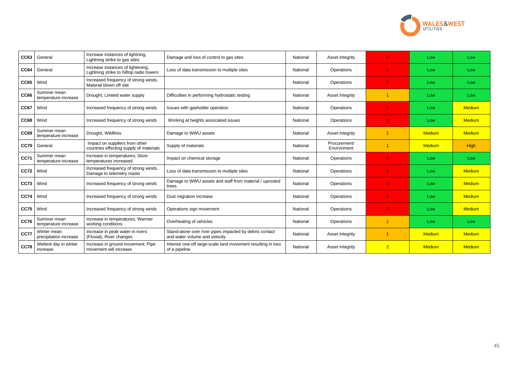| <b>CC63</b> | General                               | Increase instances of lightning,<br>Lightning strike to gas sites             | Damage and loss of control to gas sites                                                  | National | Asset Integrity             | $\overline{0}$ | Low           | Low           |
|-------------|---------------------------------------|-------------------------------------------------------------------------------|------------------------------------------------------------------------------------------|----------|-----------------------------|----------------|---------------|---------------|
| <b>CC64</b> | General                               | Increase instances of lightening,<br>Lightning strike to hilltop radio towers | Loss of data transmission to multiple sites                                              | National | Operations                  | $\Omega$       | Low           | Low           |
| <b>CC65</b> | Wind                                  | Increased frequency of strong winds,<br>Material blown off site               |                                                                                          | National | Operations                  | $\overline{0}$ | Low           | Low           |
| <b>CC66</b> | Summer mean<br>temperature increase   | Drought, Limited water supply                                                 | Difficulties in performing hydrostatic testing                                           | National | Asset Integrity             | -1             | Low           | Low           |
| <b>CC67</b> | Wind                                  | Increased frequency of strong winds                                           | Issues with gasholder operation                                                          | National | Operations                  | $\overline{0}$ | Low           | <b>Medium</b> |
| <b>CC68</b> | Wind                                  | Increased frequency of strong winds                                           | Working at heights associated issues                                                     | National | Operations                  | $\overline{0}$ | Low           | <b>Medium</b> |
| <b>CC69</b> | Summer mean<br>temperature increase   | Drought, Wildfires                                                            | Damage to WWU assets                                                                     | National | Asset Integrity             |                | <b>Medium</b> | <b>Medium</b> |
| <b>CC70</b> | General                               | Impact on suppliers from other<br>countries effecting supply of materials     | Supply of materials                                                                      | National | Procurement/<br>Environment | -1             | <b>Medium</b> | High          |
| <b>CC71</b> | Summer mean<br>temperature increase   | Increase in temperatures, Store<br>temperatures increased                     | Impact on chemical storage                                                               | National | Operations                  | $\overline{0}$ | Low           | Low           |
| <b>CC72</b> | Wind                                  | Increased frequency of strong winds,<br>Damage to telemetry masts             | Loss of data transmission to multiple sites                                              | National | Operations                  | $\Omega$       | Low           | <b>Medium</b> |
| <b>CC73</b> | Wind                                  | Increased frequency of strong winds                                           | Damage to WWU assets and staff from material / uprooted<br>trees                         | National | Operations                  | $\Omega$       | Low           | <b>Medium</b> |
| <b>CC74</b> | Wind                                  | Increased frequency of strong winds                                           | Dust migration increase                                                                  | National | Operations                  | $\overline{0}$ | Low           | <b>Medium</b> |
| <b>CC75</b> | Wind                                  | Increased frequency of strong winds                                           | Operations sign movement                                                                 | National | Operations                  | $\Omega$       | Low           | <b>Medium</b> |
| <b>CC76</b> | Summer mean<br>temperature increase   | Increase in temperatures, Warmer<br>working conditions                        | Overheating of vehicles                                                                  | National | Operations                  | -1             | Low           | Low           |
| <b>CC77</b> | Winter mean<br>precipitation increase | Increase in peak water in rivers<br>(Fluvial), River changes                  | Stand-alone over river pipes impacted by debris contact<br>and water volume and velocity | National | Asset Integrity             | -1             | <b>Medium</b> | <b>Medium</b> |
| <b>CC78</b> | Wettest day in winter<br>increase     | Increase in ground movement, Pipe<br>movement will increase                   | Intense one-off large-scale land movement resulting in loss<br>of a pipeline             | National | Asset Integrity             | $\overline{2}$ | <b>Medium</b> | <b>Medium</b> |

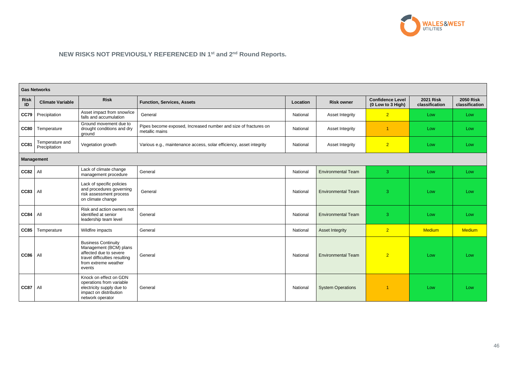# **NEW RISKS NOT PREVIOUSLY REFERENCED IN 1st and 2nd Round Reports.**

|                   | <b>Gas Networks</b>              |                                                                                                                                                   |                                                                                   |          |                           |                                              |                                    |                                    |  |
|-------------------|----------------------------------|---------------------------------------------------------------------------------------------------------------------------------------------------|-----------------------------------------------------------------------------------|----------|---------------------------|----------------------------------------------|------------------------------------|------------------------------------|--|
| <b>Risk</b><br>ID | <b>Climate Variable</b>          | <b>Risk</b>                                                                                                                                       | <b>Function, Services, Assets</b><br><b>Risk owner</b><br>Location                |          |                           | <b>Confidence Level</b><br>(0 Low to 3 High) | <b>2021 Risk</b><br>classification | <b>2050 Risk</b><br>classification |  |
| <b>CC79</b>       | Precipitation                    | Asset impact from snow/ice<br>falls and accumulation                                                                                              | General                                                                           | National | Asset Integrity           | 2 <sup>1</sup>                               | Low                                | Low                                |  |
| <b>CC80</b>       | Temperature                      | Ground movement due to<br>drought conditions and dry<br>ground                                                                                    | Pipes become exposed, Increased number and size of fractures on<br>metallic mains | National | <b>Asset Integrity</b>    | -1                                           | Low                                | Low                                |  |
| <b>CC81</b>       | Temperature and<br>Precipitation | Vegetation growth                                                                                                                                 | Various e.g., maintenance access, solar efficiency, asset integrity               | National | <b>Asset Integrity</b>    | $\overline{2}$                               | Low                                | Low                                |  |
|                   | <b>Management</b>                |                                                                                                                                                   |                                                                                   |          |                           |                                              |                                    |                                    |  |
| $CC82$ All        |                                  | Lack of climate change<br>management procedure                                                                                                    | General                                                                           | National | <b>Environmental Team</b> | 3 <sup>°</sup>                               | Low                                | Low                                |  |
| <b>CC83</b>       | All                              | Lack of specific policies<br>and procedures governing<br>risk assessment process<br>on climate change                                             | General                                                                           | National | <b>Environmental Team</b> | 3                                            | Low                                | Low                                |  |
| <b>CC84</b>       | All                              | Risk and action owners not<br>identified at senior<br>leadership team level                                                                       | General                                                                           | National | <b>Environmental Team</b> | 3                                            | Low                                | Low                                |  |
| <b>CC85</b>       | Temperature                      | Wildfire impacts                                                                                                                                  | General                                                                           | National | <b>Asset Integrity</b>    | $\overline{2}$                               | <b>Medium</b>                      | <b>Medium</b>                      |  |
| <b>CC86</b>       | All                              | <b>Business Continuity</b><br>Management (BCM) plans<br>affected due to severe<br>travel difficulties resulting<br>from extreme weather<br>events | General                                                                           | National | <b>Environmental Team</b> | $\overline{2}$                               | Low                                | Low                                |  |
| <b>CC87</b>       | All                              | Knock on effect on GDN<br>operations from variable<br>electricity supply due to<br>impact on distribution<br>network operator                     | General                                                                           | National | <b>System Operations</b>  | -1                                           | Low                                | Low                                |  |

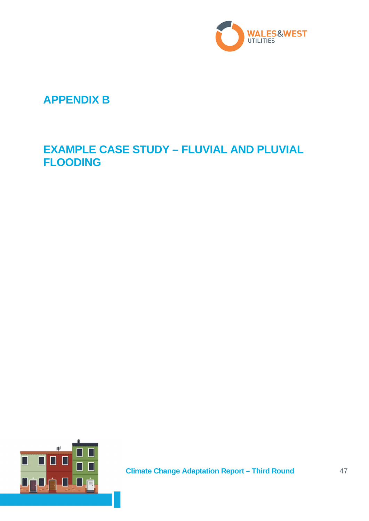

# **APPENDIX B**

# **EXAMPLE CASE STUDY – FLUVIAL AND PLUVIAL FLOODING**

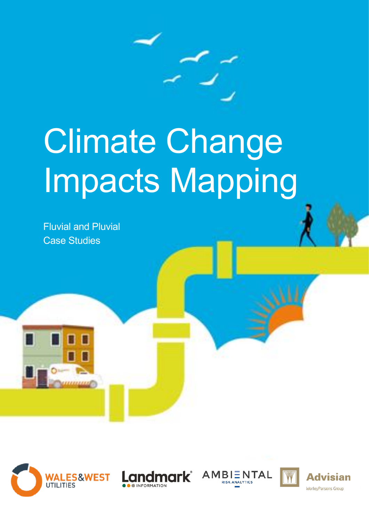

# Climate Change Impacts Mapping

Fluvial and Pluvial Case Studies







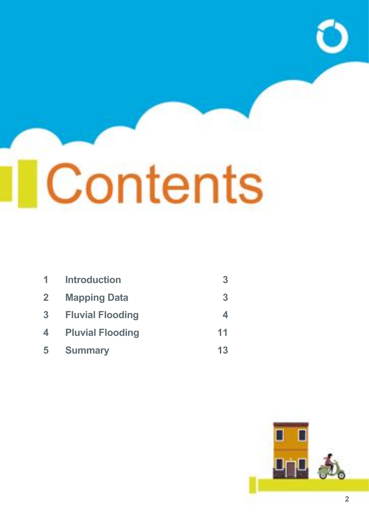# Contents

| 1                | <b>Introduction</b>     | 3  |
|------------------|-------------------------|----|
| $\mathbf{2}$     | <b>Mapping Data</b>     | 3  |
| 3                | <b>Fluvial Flooding</b> |    |
| $\blacktriangle$ | <b>Pluvial Flooding</b> | 11 |
| 5                | <b>Summary</b>          | 13 |

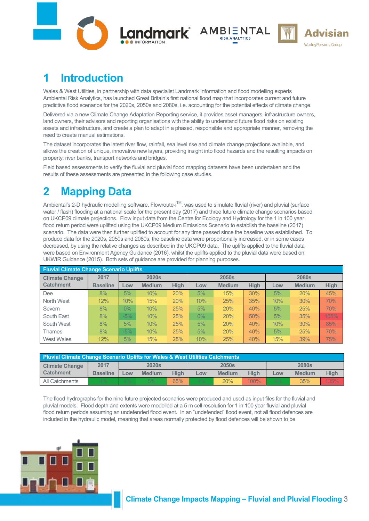





# <span id="page-49-0"></span>**1 Introduction**

Wales & West Utilities, in partnership with data specialist Landmark Information and flood modelling experts Ambiental Risk Analytics, has launched Great Britain's first national flood map that incorporates current and future predictive flood scenarios for the 2020s, 2050s and 2080s, i.e. accounting for the potential effects of climate change.

Delivered via a new Climate Change Adaptation Reporting service, it provides asset managers, infrastructure owners, land owners, their advisors and reporting organisations with the ability to understand future flood risks on existing assets and infrastructure, and create a plan to adapt in a phased, responsible and appropriate manner, removing the need to create manual estimations.

The dataset incorporates the latest river flow, rainfall, sea level rise and climate change projections available, and allows the creation of unique, innovative new layers, providing insight into flood hazards and the resulting impacts on property, river banks, transport networks and bridges.

Field based assessments to verify the fluvial and pluvial flood mapping datasets have been undertaken and the results of these assessments are presented in the following case studies.

# <span id="page-49-1"></span>**2 Mapping Data**

Ambiental's 2-D hydraulic modelling software, Flowroute-i<sup>TM</sup>, was used to simulate fluvial (river) and pluvial (surface water / flash) flooding at a national scale for the present day (2017) and three future climate change scenarios based on UKCP09 climate projections. Flow input data from the Centre for Ecology and Hydrology for the 1 in 100 year flood return period were uplifted using the UKCP09 Medium Emissions Scenario to establish the baseline (2017) scenario. The data were then further uplifted to account for any time passed since the baseline was established. To produce data for the 2020s, 2050s and 2080s, the baseline data were proportionally increased, or in some cases decreased, by using the relative changes as described in the UKCP09 data. The uplifts applied to the fluvial data were based on Environment Agency Guidance (2016), whilst the uplifts applied to the pluvial data were based on UKWIR Guidance (2015). Both sets of guidance are provided for planning purposes.

| <b>Fluvial Climate Change Scenario Uplifts</b> |                 |       |               |             |       |                   |             |     |               |             |  |
|------------------------------------------------|-----------------|-------|---------------|-------------|-------|-------------------|-------------|-----|---------------|-------------|--|
| <b>Climate Change</b>                          | 2017            |       | <b>2020s</b>  |             |       | 2050 <sub>s</sub> |             |     | <b>2080s</b>  |             |  |
| <b>Catchment</b>                               | <b>Baseline</b> | Low   | <b>Medium</b> | <b>High</b> | Low   | <b>Medium</b>     | <b>High</b> | Low | <b>Medium</b> | <b>High</b> |  |
| Dee                                            | 8%              | 5%    | 10%           | 20%         | 5%    | 15%               | 30%         | 5%  | 20%           | 45%         |  |
| North West                                     | 12%             | 10%   | 15%           | 20%         | 10%   | 25%               | 35%         | 10% | 30%           | 70%         |  |
| Severn                                         | 8%              | $0\%$ | 10%           | 25%         | 5%    | 20%               | 40%         | 5%  | 25%           | 70%         |  |
| South East                                     | 8%              | $-5%$ | 10%           | 25%         | $0\%$ | 20%               | 50%         | 5%  | 35%           | 105%        |  |
| South West                                     | 8%              | 5%    | 10%           | 25%         | 5%    | 20%               | 40%         | 10% | 30%           | 85%         |  |
| Thames                                         | 8%              | $-5%$ | 10%           | 25%         | 5%    | 20%               | 40%         | 5%  | 25%           | 70%         |  |
| <b>West Wales</b>                              | 12%             | 5%    | 15%           | 25%         | 10%   | 25%               | 40%         | 15% | 39%           | 75%         |  |

| Pluvial Climate Change Scenario Uplifts for Wales & West Utilities Catchments |                 |              |               |              |       |               |              |     |               |      |
|-------------------------------------------------------------------------------|-----------------|--------------|---------------|--------------|-------|---------------|--------------|-----|---------------|------|
| <b>Climate Change</b>                                                         | 2017            | <b>2020s</b> |               | <b>2050s</b> |       |               | <b>2080s</b> |     |               |      |
| <b>Catchment</b>                                                              | <b>Baseline</b> | LOW          | <b>Medium</b> | Hiah         | Low   | <b>Medium</b> | Hiah         | LOW | <b>Medium</b> | High |
| All Catchments                                                                | 4%              | 4%           | $5\%$         | 65%          | $4\%$ | 20%           | $100\%$      | 4%  | 35%           | 135% |

The flood hydrographs for the nine future projected scenarios were produced and used as input files for the fluvial and pluvial models. Flood depth and extents were modelled at a 5 m cell resolution for 1 in 100 year fluvial and pluvial flood return periods assuming an undefended flood event. In an "undefended" flood event, not all flood defences are included in the hydraulic model, meaning that areas normally protected by flood defences will be shown to be

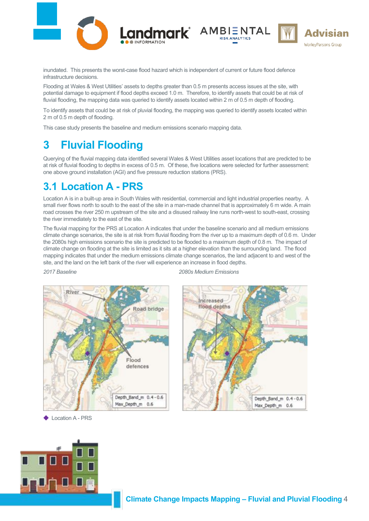

Landmark<sup>\*</sup> AMBIENTAL



inundated. This presents the worst-case flood hazard which is independent of current or future flood defence infrastructure decisions.

Flooding at Wales & West Utilities' assets to depths greater than 0.5 m presents access issues at the site, with potential damage to equipment if flood depths exceed 1.0 m. Therefore, to identify assets that could be at risk of fluvial flooding, the mapping data was queried to identify assets located within 2 m of 0.5 m depth of flooding.

To identify assets that could be at risk of pluvial flooding, the mapping was queried to identify assets located within 2 m of 0.5 m depth of flooding.

This case study presents the baseline and medium emissions scenario mapping data.

# <span id="page-50-0"></span>**3 Fluvial Flooding**

Querying of the fluvial mapping data identified several Wales & West Utilities asset locations that are predicted to be at risk of fluvial flooding to depths in excess of 0.5 m. Of these, five locations were selected for further assessment: one above ground installation (AGI) and five pressure reduction stations (PRS).

# **3.1 Location A - PRS**

Location A is in a built-up area in South Wales with residential, commercial and light industrial properties nearby. A small river flows north to south to the east of the site in a man-made channel that is approximately 6 m wide. A main road crosses the river 250 m upstream of the site and a disused railway line runs north-west to south-east, crossing the river immediately to the east of the site.

The fluvial mapping for the PRS at Location A indicates that under the baseline scenario and all medium emissions climate change scenarios, the site is at risk from fluvial flooding from the river up to a maximum depth of 0.6 m. Under the 2080s high emissions scenario the site is predicted to be flooded to a maximum depth of 0.8 m. The impact of climate change on flooding at the site is limited as it sits at a higher elevation than the surrounding land. The flood mapping indicates that under the medium emissions climate change scenarios, the land adjacent to and west of the site, and the land on the left bank of the river will experience an increase in flood depths.



*2017 Baseline 2080s Medium Emissions*

![](_page_50_Picture_15.jpeg)

Location A - PRS

![](_page_50_Picture_17.jpeg)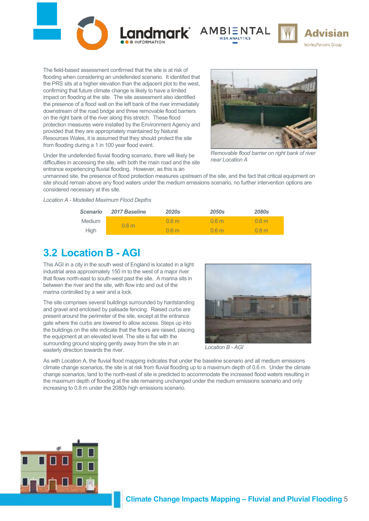![](_page_51_Picture_0.jpeg)

![](_page_51_Picture_1.jpeg)

![](_page_51_Picture_2.jpeg)

The field-based assessment confirmed that the site is at risk of flooding when considering an undefended scenario. It identifed that the PRS sits at a higher elevation than the adjacent plot to the west, confirming that future climate change is likely to have a limited impact on flooding at the site. The site assessment also identified the presence of a flood wall on the left bank of the river immediately downstream of the road bridge and three removable flood barriers on the right bank of the river along this stretch. These flood protection measures were installed by the Environment Agency and provided that they are appropriately maintained by Natural Resources Wales, it is assumed that they should protect the site from flooding during a 1 in 100 year flood event.

![](_page_51_Picture_4.jpeg)

Under the undefended fluvial flooding scenario, there will likely be difficulties in accessing the site, with both the main road and the site entrance experiencing fluvial flooding. However, as this is an

*Removable flood barrier on right bank of river near Location A*

unmanned site, the presence of flood protection measures upstream of the site, and the fact that critical equipment on site should remain above any flood waters under the medium emissions scenario, no further intervention options are considered necessary at this site.

*Location A - Modelled Maximum Flood Depths*

| <b>Scenario</b> | 2017 Baseline    | <b>2020s</b>     | <b>2050s</b>     | <b>2080s</b>     |
|-----------------|------------------|------------------|------------------|------------------|
| Medium          | 0.6 <sub>m</sub> | 0.6 <sub>m</sub> | 0.6 <sub>m</sub> | 0.6 <sub>m</sub> |
| <b>High</b>     |                  | 0.6 <sub>m</sub> | 0.6 <sub>m</sub> | 0.8 <sub>m</sub> |

# **3.2 Location B - AGI**

This AGI in a city in the south west of England is located in a light industrial area approximately 150 m to the west of a major river that flows north-east to south-west past the site. A marina sits in between the river and the site, with flow into and out of the marina controlled by a weir and a lock.

The site comprises several buildings surrounded by hardstanding and gravel and enclosed by palisade fencing. Raised curbs are present around the perimeter of the site, except at the entrance gate where the curbs are lowered to allow access. Steps up into the buildings on the site indicate that the floors are raised, placing the equipment at an elevated level. The site is flat with the surrounding ground sloping gently away from the site in an easterly direction towards the river.

![](_page_51_Picture_13.jpeg)

*Location B - AGI*

As with Location A, the fluvial flood mapping indicates that under the baseline scenario and all medium emissions climate change scenarios, the site is at risk from fluvial flooding up to a maximum depth of 0.6 m. Under the climate change scenarios, land to the north-east of site is predicted to accommodate the increased flood waters resulting in the maximum depth of flooding at the site remaining unchanged under the medium emissions scenario and only increasing to 0.8 m under the 2080s high emissions scenario.

![](_page_51_Picture_16.jpeg)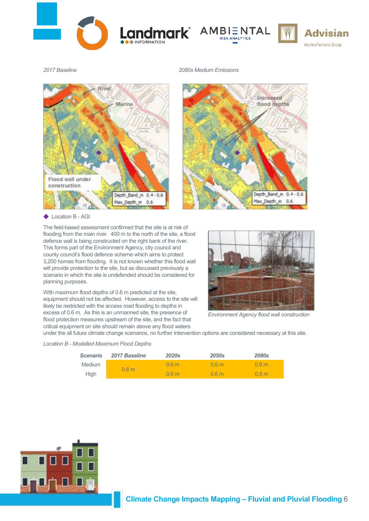![](_page_52_Picture_0.jpeg)

![](_page_52_Picture_1.jpeg)

![](_page_52_Picture_2.jpeg)

*2017 Baseline 2080s Medium Emissions*

![](_page_52_Figure_5.jpeg)

### Location B - AGI

The field-based assessment confirmed that the site is at risk of flooding from the main river. 400 m to the north of the site, a flood defence wall is being constructed on the right bank of the river. This forms part of the Environment Agency, city council and county council's flood defence scheme which aims to protect 3,200 homes from flooding. It is not known whether this flood wall will provide protection to the site, but as discussed previously a scenario in which the site is undefended should be considered for planning purposes.

With maximum flood depths of 0.6 m predicted at the site, equipment should not be affected. However, access to the site will likely be restricted with the access road flooding to depths in excess of 0.6 m. As this is an unmanned site, the presence of flood protection measures upstream of the site, and the fact that critical equipment on site should remain above any flood waters

![](_page_52_Picture_9.jpeg)

Increased

flood depths

Depth Band m 0.4 - 0.6

Max\_Depth\_m 0.6

*Environment Agency flood wall construction*

under the all future climate change scenarios, no further intervention options are considered necessary at this site.

### *Location B - Modelled Maximum Flood Depths*

| <b>Scenario</b> | <b>2017 Baseline</b> | <b>2020s</b>     | <b>2050s</b>     | <b>2080s</b>     |
|-----------------|----------------------|------------------|------------------|------------------|
| Medium          |                      | 0.6 <sub>m</sub> | 0.6 <sub>m</sub> | 0.6 <sub>m</sub> |
| <b>High</b>     | 0.6 <sub>m</sub>     | 0.6 <sub>m</sub> | 0.6 <sub>m</sub> | 0.8 <sub>m</sub> |

![](_page_52_Picture_14.jpeg)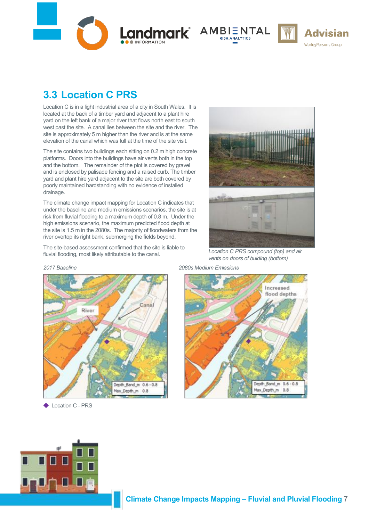Landmark<sup>\*</sup> AMBIENTAL

![](_page_53_Picture_2.jpeg)

![](_page_53_Picture_3.jpeg)

# **3.3 Location C PRS**

Location C is in a light industrial area of a city in South Wales. It is located at the back of a timber yard and adjacent to a plant hire yard on the left bank of a major river that flows north east to south west past the site. A canal lies between the site and the river. The site is approximately 5 m higher than the river and is at the same elevation of the canal which was full at the time of the site visit.

The site contains two buildings each sitting on 0.2 m high concrete platforms. Doors into the buildings have air vents both in the top and the bottom. The remainder of the plot is covered by gravel and is enclosed by palisade fencing and a raised curb. The timber yard and plant hire yard adjacent to the site are both covered by poorly maintained hardstanding with no evidence of installed drainage.

The climate change impact mapping for Location C indicates that under the baseline and medium emissions scenarios, the site is at risk from fluvial flooding to a maximum depth of 0.8 m. Under the high emissions scenario, the maximum predicted flood depth at the site is 1.5 m in the 2080s. The majority of floodwaters from the river overtop its right bank, submerging the fields beyond.

The site-based assessment confirmed that the site is liable to fluvial flooding, most likely attributable to the canal.

![](_page_53_Picture_9.jpeg)

*Location C PRS compound (top) and air vents on doors of bulding (bottom)*

*2017 Baseline 2080s Medium Emissions*

![](_page_53_Figure_12.jpeg)

◆ Location C - PRS

Increased flood depths Depth\_Band\_m 0.6 - 0.8 Max\_Depth\_m 0.8

![](_page_53_Picture_15.jpeg)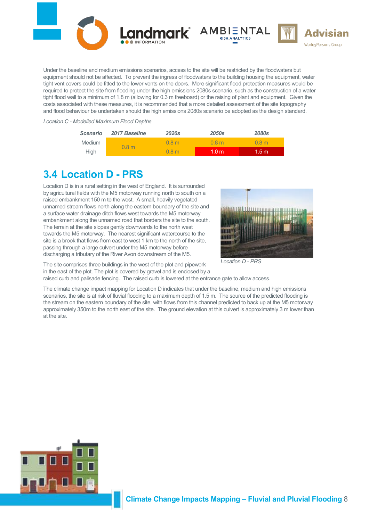![](_page_54_Picture_0.jpeg)

Under the baseline and medium emissions scenarios, access to the site will be restricted by the floodwaters but equipment should not be affected. To prevent the ingress of floodwaters to the building housing the equipment, water tight vent covers could be fitted to the lower vents on the doors. More significant flood protection measures would be required to protect the site from flooding under the high emissions 2080s scenario, such as the construction of a water tight flood wall to a minimum of 1.8 m (allowing for 0.3 m freeboard) or the raising of plant and equipment. Given the costs associated with these measures, it is recommended that a more detailed assessment of the site topography and flood behaviour be undertaken should the high emissions 2080s scenario be adopted as the design standard.

### *Location C - Modelled Maximum Flood Depths*

| <b>Scenario</b> | <b>2017 Baseline</b> | 2020s            | 2050 <sub>s</sub> | <b>2080s</b>     |
|-----------------|----------------------|------------------|-------------------|------------------|
| Medium          |                      | 0.8 m            | 0.8 <sub>m</sub>  | 0.8 <sub>m</sub> |
| High            | 0.8 <sub>m</sub>     | 0.8 <sub>m</sub> | 1.0 <sub>m</sub>  | 1.5 m'           |

# **3.4 Location D - PRS**

Location D is in a rural setting in the west of England. It is surrounded by agricultural fields with the M5 motorway running north to south on a raised embankment 150 m to the west. A small, heavily vegetated unnamed stream flows north along the eastern boundary of the site and a surface water drainage ditch flows west towards the M5 motorway embankment along the unnamed road that borders the site to the south. The terrain at the site slopes gently downwards to the north west towards the M5 motorway. The nearest significant watercourse to the site is a brook that flows from east to west 1 km to the north of the site, passing through a large culvert under the M5 motorway before discharging a tributary of the River Avon downstream of the M5.

![](_page_54_Picture_6.jpeg)

*Location D - PRS*

The site comprises three buildings in the west of the plot and pipework in the east of the plot. The plot is covered by gravel and is enclosed by a

raised curb and palisade fencing. The raised curb is lowered at the entrance gate to allow access.

The climate change impact mapping for Location D indicates that under the baseline, medium and high emissions scenarios, the site is at risk of fluvial flooding to a maximum depth of 1.5 m. The source of the predicted flooding is the stream on the eastern boundary of the site, with flows from this channel predicted to back up at the M5 motorway approximately 350m to the north east of the site. The ground elevation at this culvert is approximately 3 m lower than at the site.

![](_page_54_Picture_11.jpeg)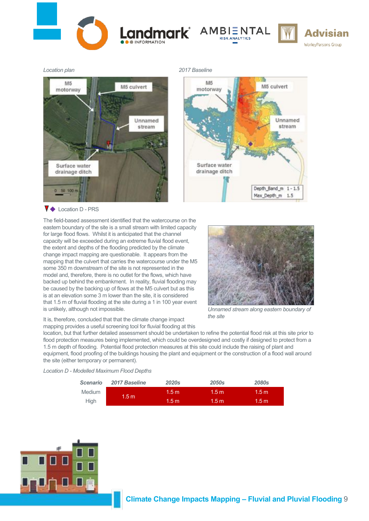![](_page_55_Picture_0.jpeg)

![](_page_55_Picture_1.jpeg)

![](_page_55_Picture_2.jpeg)

M<sub>5</sub> M5 culvert motorway Unnamed stream Surface water drainage ditch 50 100 m

![](_page_55_Figure_5.jpeg)

### $\blacktriangledown$  Location D - PRS

The field-based assessment identified that the watercourse on the eastern boundary of the site is a small stream with limited capacity for large flood flows. Whilst it is anticipated that the channel capacity will be exceeded during an extreme fluvial flood event, the extent and depths of the flooding predicted by the climate change impact mapping are questionable. It appears from the mapping that the culvert that carries the watercourse under the M5 some 350 m downstream of the site is not represented in the model and, therefore, there is no outlet for the flows, which have backed up behind the embankment. In reality, fluvial flooding may be caused by the backing up of flows at the M5 culvert but as this is at an elevation some 3 m lower than the site, it is considered that 1.5 m of fluvial flooding at the site during a 1 in 100 year event is unlikely, although not impossible.

![](_page_55_Picture_8.jpeg)

*Unnamed stream along eastern boundary of the site*

It is, therefore, concluded that that the climate change impact mapping provides a useful screening tool for fluvial flooding at this

location, but that further detailed assessment should be undertaken to refine the potential flood risk at this site prior to flood protection measures being implemented, which could be overdesigned and costly if designed to protect from a 1.5 m depth of flooding. Potential flood protection measures at this site could include the raising of plant and equipment, flood proofing of the buildings housing the plant and equipment or the construction of a flood wall around the site (either temporary or permanent).

*Location D - Modelled Maximum Flood Depths*

| <b>Scenario</b> | 2017 Baseline    | <b>2020s</b>     | <b>2050s</b> | <b>2080s</b> |
|-----------------|------------------|------------------|--------------|--------------|
| Medium          | 1.5 <sub>m</sub> | 1.5 <sub>m</sub> | 1.5 m'       | 1.5 m        |
| <b>High</b>     |                  | 1.5 <sub>m</sub> | 1.5 m        | 1.5 m        |

![](_page_55_Picture_14.jpeg)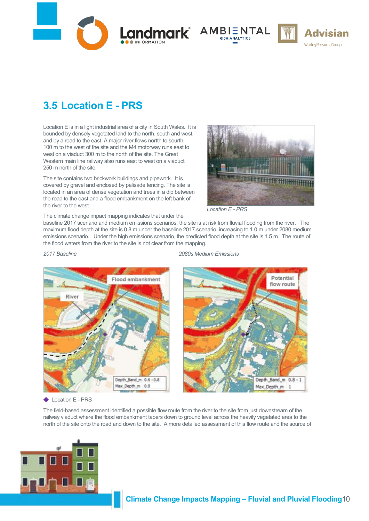![](_page_56_Picture_0.jpeg)

![](_page_56_Picture_1.jpeg)

![](_page_56_Picture_2.jpeg)

![](_page_56_Picture_3.jpeg)

# **3.5 Location E - PRS**

Location E is in a light industrial area of a city in South Wales. It is bounded by densely vegetated land to the north, south and west, and by a road to the east. A major river flows nortth to sourth 100 m to the west of the site and the M4 motorway runs east to west on a viaduct 300 m to the north of the site. The Great Western main line railway also runs east to west on a viaduct 250 m north of the site.

The site contains two brickwork buildings and pipework. It is covered by gravel and enclosed by palisade fencing. The site is located in an area of dense vegetation and trees in a dip between the road to the east and a flood embankment on the left bank of the river to the west.

![](_page_56_Picture_7.jpeg)

*Location E - PRS*

The climate change impact mapping indicates that under the

baseline 2017 scenario and medium emissions scenarios, the site is at risk from fluvial flooding from the river. The maximum flood depth at the site is 0.8 m under the baseline 2017 scenario, increasing to 1.0 m under 2080 medium emissions scenario. Under the high emissions scenario, the predicted flood depth at the site is 1.5 m. The route of the flood waters from the river to the site is not clear from the mapping.

![](_page_56_Picture_11.jpeg)

*2017 Baseline 2080s Medium Emissions*

![](_page_56_Picture_13.jpeg)

◆ Location E - PRS

The field-based assessment identified a possible flow route from the river to the site from just downstream of the railway viaduct where the flood embankment tapers down to ground level across the heavily vegetated area to the north of the site onto the road and down to the site. A more detailed assessment of this flow route and the source of

![](_page_56_Picture_16.jpeg)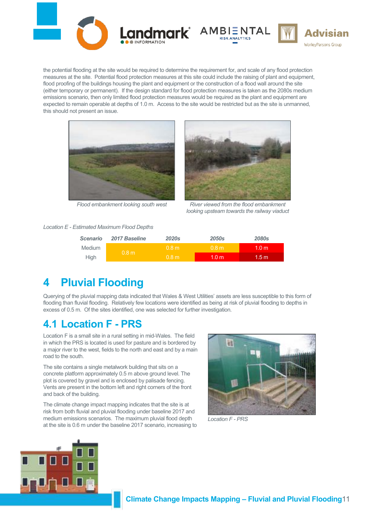![](_page_57_Picture_0.jpeg)

![](_page_57_Picture_1.jpeg)

![](_page_57_Picture_2.jpeg)

the potential flooding at the site would be required to determine the requirement for, and scale of any flood protection measures at the site. Potential flood protection measures at this site could include the raising of plant and equipment, flood proofing of the buildings housing the plant and equipment or the construction of a flood wall around the site (either temporary or permanent). If the design standard for flood protection measures is taken as the 2080s medium emissions scenario, then only limited flood protection measures would be required as the plant and equipment are expected to remain operable at depths of 1.0 m. Access to the site would be restricted but as the site is unmanned, this should not present an issue.

![](_page_57_Picture_4.jpeg)

![](_page_57_Picture_5.jpeg)

![](_page_57_Picture_6.jpeg)

*Flood embankment looking south west River viewed from the flood embankment looking upsteam towards the railway viaduct*

### *Location E - Estimated Maximum Flood Depths*

| <b>Scenario</b> | 2017 Baseline    | <b>2020s</b>     | 2050s            | <b>2080s</b>     |
|-----------------|------------------|------------------|------------------|------------------|
| <b>Medium</b>   | 0.8 <sub>m</sub> | 0.8 <sub>m</sub> | 0.8 <sub>m</sub> | 1.0 <sub>m</sub> |
| <b>High</b>     |                  | 0.8 <sub>m</sub> | 1.0 <sub>m</sub> | 1.5 m            |

# <span id="page-57-0"></span>**4 Pluvial Flooding**

Querying of the pluvial mapping data indicated that Wales & West Utilities' assets are less susceptible to this form of flooding than fluvial flooding. Relatively few locations were identified as being at risk of pluvial flooding to depths in excess of 0.5 m. Of the sites identified, one was selected for further investigation.

# **4.1 Location F - PRS**

Location F is a small site in a rural setting in mid-Wales. The field in which the PRS is located is used for pasture and is bordered by a major river to the west, fields to the north and east and by a main road to the south.

The site contains a single metalwork building that sits on a concrete platform approximately 0.5 m above ground level. The plot is covered by gravel and is enclosed by palisade fencing. Vents are present in the bottom left and right corners of the front and back of the building.

The climate change impact mapping indicates that the site is at risk from both fluvial and pluvial flooding under baseline 2017 and medium emissions scenarios. The maximum pluvial flood depth at the site is 0.6 m under the baseline 2017 scenario, increasing to

![](_page_57_Picture_16.jpeg)

*Location F - PRS*

![](_page_57_Picture_18.jpeg)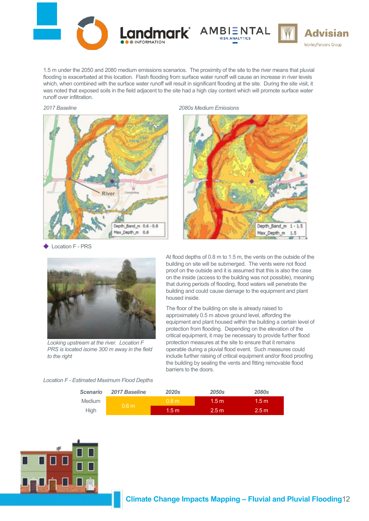![](_page_58_Picture_0.jpeg)

1.5 m under the 2050 and 2080 medium emissions scenarios. The proximity of the site to the river means that pluvial flooding is exacerbated at this location. Flash flooding from surface water runoff will cause an increase in river levels which, when combined with the surface water runoff will result in significant flooding at the site. During the site visit, it was noted that exposed soils in the field adjacent to the site had a high clay content which will promote surface water runoff over infiltration.

![](_page_58_Figure_3.jpeg)

Location F - PRS

*2017 Baseline 2080s Medium Emissions*

![](_page_58_Picture_6.jpeg)

**Advisian** 

WorleyParsons Group

![](_page_58_Picture_7.jpeg)

*Looking upstream at the river. Location F PRS is located isome 300 m away in the field to the right*

*Location F - Estimated Maximum Flood Depths*

At flood depths of 0.8 m to 1.5 m, the vents on the outside of the building on site will be submerged. The vents were not flood proof on the outside and it is assumed that this is also the case on the inside (access to the building was not possible), meaning that during periods of flooding, flood waters will penetrate the building and could cause damage to the equipment and plant housed inside.

The floor of the building on site is already raised to approximately 0.5 m above ground level, affording the equipment and plant housed within the building a certain level of protection from flooding. Depending on the elevation of the critical equipment, it may be necessary to provide further flood protection measures at the site to ensure that it remains operable during a pluvial flood event. Such measures could include further raising of critical equipment and/or flood proofing the building by sealing the vents and fitting removable flood barriers to the doors.

| <b>Scenario</b> | 2017 Baseline    | <b>2020s</b>    | <b>2050s</b>     | <b>2080s</b>     |
|-----------------|------------------|-----------------|------------------|------------------|
| <b>Medium</b>   | 0.6 <sub>m</sub> | 0.8 m           | 1.5 m            | 1.5 <sub>m</sub> |
| <b>High</b>     |                  | $1.5 \text{ m}$ | 2.5 <sub>m</sub> | 2.5 <sub>m</sub> |

![](_page_58_Picture_13.jpeg)